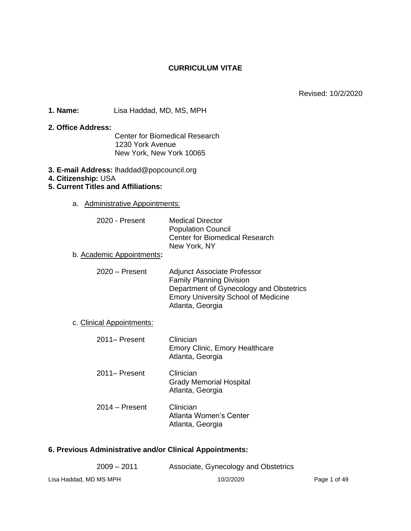# **CURRICULUM VITAE**

Revised: 10/2/2020

**1. Name:** Lisa Haddad, MD, MS, MPH

#### **2. Office Address:**

Center for Biomedical Research 1230 York Avenue New York, New York 10065

- **3. E-mail Address:** lhaddad@popcouncil.org
- **4. Citizenship:** USA

# **5. Current Titles and Affiliations:**

a. Administrative Appointments:

| 2020 - Present            | <b>Medical Director</b><br><b>Population Council</b><br><b>Center for Biomedical Research</b><br>New York, NY                                                                      |
|---------------------------|------------------------------------------------------------------------------------------------------------------------------------------------------------------------------------|
| b. Academic Appointments: |                                                                                                                                                                                    |
| $2020 -$ Present          | <b>Adjunct Associate Professor</b><br><b>Family Planning Division</b><br>Department of Gynecology and Obstetrics<br><b>Emory University School of Medicine</b><br>Atlanta, Georgia |
| c. Clinical Appointments: |                                                                                                                                                                                    |
| 2011– Present             | Clinician<br><b>Emory Clinic, Emory Healthcare</b><br>Atlanta, Georgia                                                                                                             |
| 2011– Present             | Clinician<br><b>Grady Memorial Hospital</b><br>Atlanta, Georgia                                                                                                                    |
| $2014 -$ Present          | Clinician<br>Atlanta Women's Center<br>Atlanta, Georgia                                                                                                                            |

# **6. Previous Administrative and/or Clinical Appointments:**

| $2009 - 2011$          | Associate, Gynecology and Obstetrics |
|------------------------|--------------------------------------|
| Lisa Haddad, MD MS MPH | 10/2/2020                            |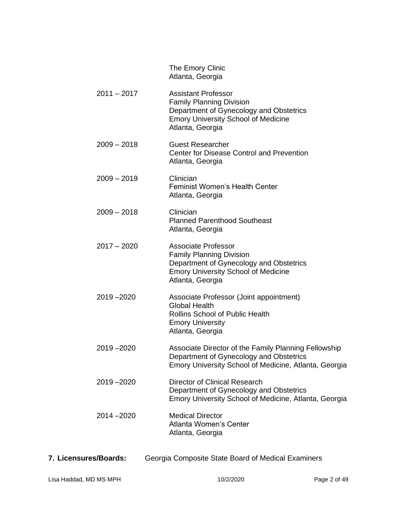|               | The Emory Clinic<br>Atlanta, Georgia                                                                                                                                       |
|---------------|----------------------------------------------------------------------------------------------------------------------------------------------------------------------------|
| $2011 - 2017$ | <b>Assistant Professor</b><br><b>Family Planning Division</b><br>Department of Gynecology and Obstetrics<br><b>Emory University School of Medicine</b><br>Atlanta, Georgia |
| $2009 - 2018$ | <b>Guest Researcher</b><br>Center for Disease Control and Prevention<br>Atlanta, Georgia                                                                                   |
| $2009 - 2019$ | Clinician<br><b>Feminist Women's Health Center</b><br>Atlanta, Georgia                                                                                                     |
| $2009 - 2018$ | Clinician<br><b>Planned Parenthood Southeast</b><br>Atlanta, Georgia                                                                                                       |
| $2017 - 2020$ | Associate Professor<br><b>Family Planning Division</b><br>Department of Gynecology and Obstetrics<br><b>Emory University School of Medicine</b><br>Atlanta, Georgia        |
| 2019-2020     | Associate Professor (Joint appointment)<br><b>Global Health</b><br><b>Rollins School of Public Health</b><br><b>Emory University</b><br>Atlanta, Georgia                   |
| 2019 - 2020   | Associate Director of the Family Planning Fellowship<br>Department of Gynecology and Obstetrics<br>Emory University School of Medicine, Atlanta, Georgia                   |
| 2019-2020     | Director of Clinical Research<br>Department of Gynecology and Obstetrics<br>Emory University School of Medicine, Atlanta, Georgia                                          |
| 2014 - 2020   | <b>Medical Director</b><br><b>Atlanta Women's Center</b><br>Atlanta, Georgia                                                                                               |
|               |                                                                                                                                                                            |

**7. Licensures/Boards:** Georgia Composite State Board of Medical Examiners

Lisa Haddad, MD MS MPH 10/2/2020 10/2/2020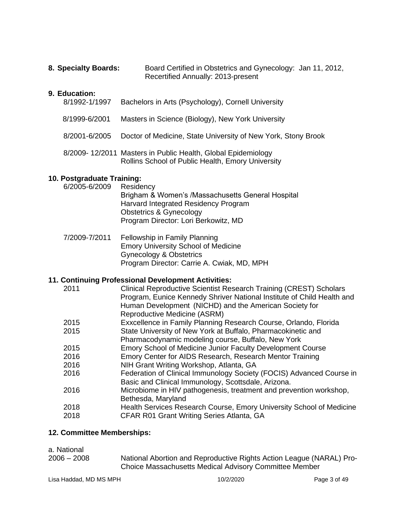| 8. Specialty Boards: | Board Certified in Obstetrics and Gynecology: Jan 11, 2012, |  |
|----------------------|-------------------------------------------------------------|--|
|                      | Recertified Annually: 2013-present                          |  |

# **9. Education:**

| 8/1992-1/1997 | Bachelors in Arts (Psychology), Cornell University                                                                |
|---------------|-------------------------------------------------------------------------------------------------------------------|
| 8/1999-6/2001 | Masters in Science (Biology), New York University                                                                 |
|               | 8/2001-6/2005 Doctor of Medicine, State University of New York, Stony Brook                                       |
|               | 8/2009-12/2011 Masters in Public Health, Global Epidemiology<br>Rollins School of Public Health, Emory University |

# **10. Postgraduate Training:**

| 6/2005-6/2009 | Residency                                         |
|---------------|---------------------------------------------------|
|               | Brigham & Women's /Massachusetts General Hospital |
|               | Harvard Integrated Residency Program              |
|               | <b>Obstetrics &amp; Gynecology</b>                |
|               | Program Director: Lori Berkowitz, MD              |
|               |                                                   |

7/2009-7/2011 Fellowship in Family Planning Emory University School of Medicine Gynecology & Obstetrics Program Director: Carrie A. Cwiak, MD, MPH

# **11. Continuing Professional Development Activities:**

| 2011 | <b>Clinical Reproductive Scientist Research Training (CREST) Scholars</b> |
|------|---------------------------------------------------------------------------|
|      | Program, Eunice Kennedy Shriver National Institute of Child Health and    |
|      | Human Development (NICHD) and the American Society for                    |
|      | Reproductive Medicine (ASRM)                                              |
| 2015 | Exxcellence in Family Planning Research Course, Orlando, Florida          |
| 2015 | State University of New York at Buffalo, Pharmacokinetic and              |
|      | Pharmacodynamic modeling course, Buffalo, New York                        |
| 2015 | Emory School of Medicine Junior Faculty Development Course                |
| 2016 | Emory Center for AIDS Research, Research Mentor Training                  |
| 2016 | NIH Grant Writing Workshop, Atlanta, GA                                   |
| 2016 | Federation of Clinical Immunology Society (FOCIS) Advanced Course in      |
|      | Basic and Clinical Immunology, Scottsdale, Arizona.                       |
| 2016 | Microbiome in HIV pathogenesis, treatment and prevention workshop,        |
|      | Bethesda, Maryland                                                        |
| 2018 | Health Services Research Course, Emory University School of Medicine      |
| 2018 | CFAR R01 Grant Writing Series Atlanta, GA                                 |
|      |                                                                           |

# **12. Committee Memberships:**

| a. National |
|-------------|
|-------------|

| $2006 - 2008$ | National Abortion and Reproductive Rights Action League (NARAL) Pro- |
|---------------|----------------------------------------------------------------------|
|               | Choice Massachusetts Medical Advisory Committee Member               |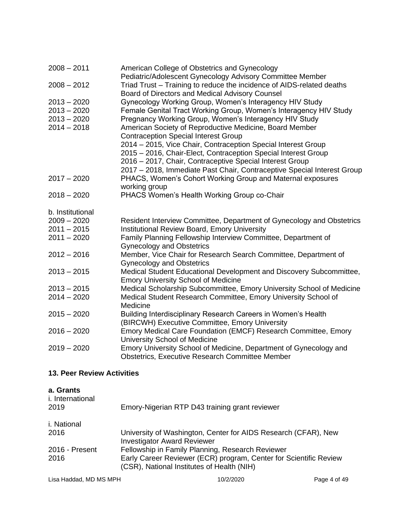| American College of Obstetrics and Gynecology                                                                                      |
|------------------------------------------------------------------------------------------------------------------------------------|
| Pediatric/Adolescent Gynecology Advisory Committee Member<br>Triad Trust - Training to reduce the incidence of AIDS-related deaths |
| Board of Directors and Medical Advisory Counsel                                                                                    |
| Gynecology Working Group, Women's Interagency HIV Study                                                                            |
| Female Genital Tract Working Group, Women's Interagency HIV Study                                                                  |
| Pregnancy Working Group, Women's Interagency HIV Study                                                                             |
| American Society of Reproductive Medicine, Board Member                                                                            |
| <b>Contraception Special Interest Group</b>                                                                                        |
| 2014 - 2015, Vice Chair, Contraception Special Interest Group                                                                      |
| 2015 - 2016, Chair-Elect, Contraception Special Interest Group                                                                     |
| 2016 - 2017, Chair, Contraceptive Special Interest Group                                                                           |
| 2017 - 2018, Immediate Past Chair, Contraceptive Special Interest Group                                                            |
| PHACS, Women's Cohort Working Group and Maternal exposures                                                                         |
| working group                                                                                                                      |
| PHACS Women's Health Working Group co-Chair                                                                                        |
|                                                                                                                                    |
| Resident Interview Committee, Department of Gynecology and Obstetrics                                                              |
| <b>Institutional Review Board, Emory University</b>                                                                                |
| Family Planning Fellowship Interview Committee, Department of<br><b>Gynecology and Obstetrics</b>                                  |
| Member, Vice Chair for Research Search Committee, Department of                                                                    |
| <b>Gynecology and Obstetrics</b>                                                                                                   |
| Medical Student Educational Development and Discovery Subcommittee,                                                                |
| <b>Emory University School of Medicine</b>                                                                                         |
| Medical Scholarship Subcommittee, Emory University School of Medicine                                                              |
| Medical Student Research Committee, Emory University School of                                                                     |
| Medicine                                                                                                                           |
| Building Interdisciplinary Research Careers in Women's Health                                                                      |
| (BIRCWH) Executive Committee, Emory University                                                                                     |
| Emory Medical Care Foundation (EMCF) Research Committee, Emory<br>University School of Medicine                                    |
| Emory University School of Medicine, Department of Gynecology and                                                                  |
| <b>Obstetrics, Executive Research Committee Member</b>                                                                             |
|                                                                                                                                    |
|                                                                                                                                    |

# **13. Peer Review Activities**

| a. Grants<br><i>i.</i> International<br>2019 | Emory-Nigerian RTP D43 training grant reviewer                                                                  |
|----------------------------------------------|-----------------------------------------------------------------------------------------------------------------|
| i. National                                  |                                                                                                                 |
| 2016                                         | University of Washington, Center for AIDS Research (CFAR), New<br><b>Investigator Award Reviewer</b>            |
| 2016 - Present                               | Fellowship in Family Planning, Research Reviewer                                                                |
| 2016                                         | Early Career Reviewer (ECR) program, Center for Scientific Review<br>(CSR), National Institutes of Health (NIH) |

Lisa Haddad, MD MS MPH 10/2/2020 10/2/2020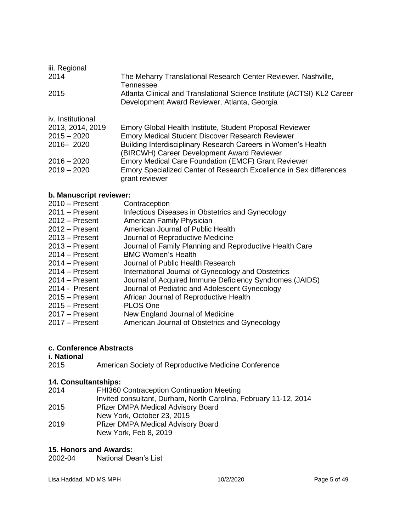| iii. Regional     |                                                                                                                         |
|-------------------|-------------------------------------------------------------------------------------------------------------------------|
| 2014              | The Meharry Translational Research Center Reviewer. Nashville,<br>Tennessee                                             |
| 2015              | Atlanta Clinical and Translational Science Institute (ACTSI) KL2 Career<br>Development Award Reviewer, Atlanta, Georgia |
| iv. Institutional |                                                                                                                         |
| 2013, 2014, 2019  | Emory Global Health Institute, Student Proposal Reviewer                                                                |
| $2015 - 2020$     | <b>Emory Medical Student Discover Research Reviewer</b>                                                                 |
| 2016 - 2020       | Building Interdisciplinary Research Careers in Women's Health                                                           |
|                   | (BIRCWH) Career Development Award Reviewer                                                                              |
| $2016 - 2020$     | Emory Medical Care Foundation (EMCF) Grant Reviewer                                                                     |
| $2019 - 2020$     | Emory Specialized Center of Research Excellence in Sex differences<br>grant reviewer                                    |

# **b. Manuscript reviewer:**

| $2010 -$ Present | Contraception                                           |
|------------------|---------------------------------------------------------|
| $2011 -$ Present | Infectious Diseases in Obstetrics and Gynecology        |
| $2012 -$ Present | American Family Physician                               |
| $2012 -$ Present | American Journal of Public Health                       |
| $2013 -$ Present | Journal of Reproductive Medicine                        |
| $2013 -$ Present | Journal of Family Planning and Reproductive Health Care |
| $2014 -$ Present | <b>BMC Women's Health</b>                               |
| $2014 -$ Present | Journal of Public Health Research                       |
| $2014 -$ Present | International Journal of Gynecology and Obstetrics      |
| $2014 -$ Present | Journal of Acquired Immune Deficiency Syndromes (JAIDS) |
| 2014 - Present   | Journal of Pediatric and Adolescent Gynecology          |
| $2015 -$ Present | African Journal of Reproductive Health                  |
| $2015 -$ Present | PLOS One                                                |
| $2017 -$ Present | New England Journal of Medicine                         |
| $2017 -$ Present | American Journal of Obstetrics and Gynecology           |
|                  |                                                         |

# **c. Conference Abstracts**

# **i. National**

2015 American Society of Reproductive Medicine Conference

# **14. Consultantships:**

| FHI360 Contraception Continuation Meeting<br>2014                |  |
|------------------------------------------------------------------|--|
| Invited consultant, Durham, North Carolina, February 11-12, 2014 |  |
| 2015<br>Pfizer DMPA Medical Advisory Board                       |  |
| New York, October 23, 2015                                       |  |
| 2019<br>Pfizer DMPA Medical Advisory Board                       |  |
| New York, Feb 8, 2019                                            |  |

# **15. Honors and Awards:**

**National Dean's List**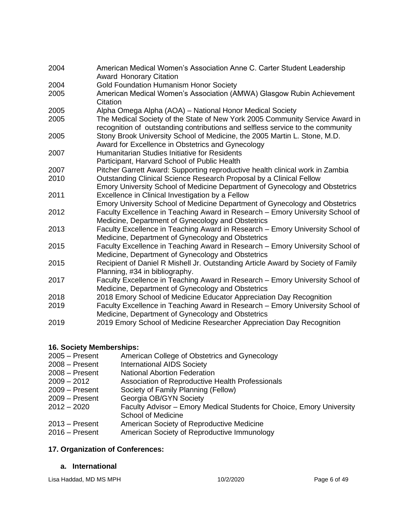| 2004 | American Medical Women's Association Anne C. Carter Student Leadership<br><b>Award Honorary Citation</b>                                                       |
|------|----------------------------------------------------------------------------------------------------------------------------------------------------------------|
| 2004 | <b>Gold Foundation Humanism Honor Society</b>                                                                                                                  |
| 2005 | American Medical Women's Association (AMWA) Glasgow Rubin Achievement<br>Citation                                                                              |
| 2005 | Alpha Omega Alpha (AOA) - National Honor Medical Society                                                                                                       |
| 2005 | The Medical Society of the State of New York 2005 Community Service Award in<br>recognition of outstanding contributions and selfless service to the community |
| 2005 | Stony Brook University School of Medicine, the 2005 Martin L. Stone, M.D.<br>Award for Excellence in Obstetrics and Gynecology                                 |
| 2007 | Humanitarian Studies Initiative for Residents                                                                                                                  |
|      | Participant, Harvard School of Public Health                                                                                                                   |
| 2007 | Pitcher Garrett Award: Supporting reproductive health clinical work in Zambia                                                                                  |
| 2010 | Outstanding Clinical Science Research Proposal by a Clinical Fellow                                                                                            |
|      | Emory University School of Medicine Department of Gynecology and Obstetrics                                                                                    |
| 2011 | Excellence in Clinical Investigation by a Fellow                                                                                                               |
|      | Emory University School of Medicine Department of Gynecology and Obstetrics                                                                                    |
| 2012 | Faculty Excellence in Teaching Award in Research - Emory University School of<br>Medicine, Department of Gynecology and Obstetrics                             |
| 2013 | Faculty Excellence in Teaching Award in Research - Emory University School of<br>Medicine, Department of Gynecology and Obstetrics                             |
| 2015 | Faculty Excellence in Teaching Award in Research – Emory University School of<br>Medicine, Department of Gynecology and Obstetrics                             |
| 2015 | Recipient of Daniel R Mishell Jr. Outstanding Article Award by Society of Family                                                                               |
|      | Planning, #34 in bibliography.                                                                                                                                 |
| 2017 | Faculty Excellence in Teaching Award in Research - Emory University School of<br>Medicine, Department of Gynecology and Obstetrics                             |
| 2018 | 2018 Emory School of Medicine Educator Appreciation Day Recognition                                                                                            |
| 2019 | Faculty Excellence in Teaching Award in Research – Emory University School of<br>Medicine, Department of Gynecology and Obstetrics                             |
|      |                                                                                                                                                                |

2019 2019 Emory School of Medicine Researcher Appreciation Day Recognition

# **16. Society Memberships:**

- 2005 Present American College of Obstetrics and Gynecology
- 2008 Present International AIDS Society
- 2008 Present National Abortion Federation
- 2009 2012 Association of Reproductive Health Professionals
- 2009 Present Society of Family Planning (Fellow)
- 2009 Present Georgia OB/GYN Society
- 2012 2020 Faculty Advisor Emory Medical Students for Choice, Emory University School of Medicine
- 2013 Present American Society of Reproductive Medicine
- 2016 Present American Society of Reproductive Immunology

# **17. Organization of Conferences:**

# **a. International**

Lisa Haddad, MD MS MPH 10/2/2020 10/2/2020 Page 6 of 49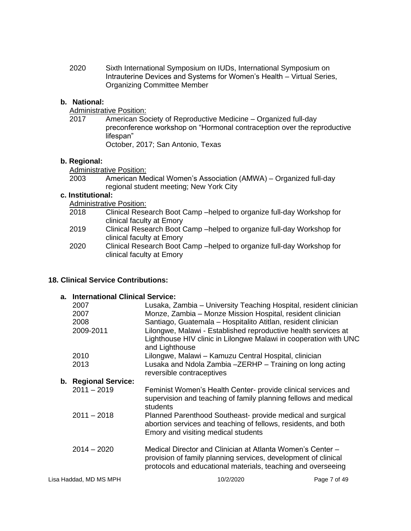2020 Sixth International Symposium on IUDs, International Symposium on Intrauterine Devices and Systems for Women's Health – Virtual Series, Organizing Committee Member

### **b. National:**

**Administrative Position:** 

2017 American Society of Reproductive Medicine – Organized full-day preconference workshop on "Hormonal contraception over the reproductive lifespan" October, 2017; San Antonio, Texas

#### **b. Regional:**

Administrative Position:

| 2003 | American Medical Women's Association (AMWA) – Organized full-day |
|------|------------------------------------------------------------------|
|      | regional student meeting; New York City                          |

### **c. Institutional:**

Administrative Position:

- Clinical Research Boot Camp –helped to organize full-day Workshop for clinical faculty at Emory
- 2019 Clinical Research Boot Camp –helped to organize full-day Workshop for clinical faculty at Emory
- 2020 Clinical Research Boot Camp –helped to organize full-day Workshop for clinical faculty at Emory

#### **18. Clinical Service Contributions:**

|                        | a. International Clinical Service:                                                                                                                                                           |              |  |  |
|------------------------|----------------------------------------------------------------------------------------------------------------------------------------------------------------------------------------------|--------------|--|--|
| 2007                   | Lusaka, Zambia – University Teaching Hospital, resident clinician                                                                                                                            |              |  |  |
| 2007                   | Monze, Zambia – Monze Mission Hospital, resident clinician                                                                                                                                   |              |  |  |
| 2008                   | Santiago, Guatemala - Hospitalito Atitlan, resident clinician                                                                                                                                |              |  |  |
| 2009-2011              | Lilongwe, Malawi - Established reproductive health services at<br>Lighthouse HIV clinic in Lilongwe Malawi in cooperation with UNC<br>and Lighthouse                                         |              |  |  |
| 2010                   | Lilongwe, Malawi - Kamuzu Central Hospital, clinician                                                                                                                                        |              |  |  |
| 2013                   | Lusaka and Ndola Zambia - ZERHP - Training on long acting<br>reversible contraceptives                                                                                                       |              |  |  |
| b. Regional Service:   |                                                                                                                                                                                              |              |  |  |
| $2011 - 2019$          | Feminist Women's Health Center- provide clinical services and<br>supervision and teaching of family planning fellows and medical<br>students                                                 |              |  |  |
| $2011 - 2018$          | Planned Parenthood Southeast- provide medical and surgical<br>abortion services and teaching of fellows, residents, and both<br>Emory and visiting medical students                          |              |  |  |
| $2014 - 2020$          | Medical Director and Clinician at Atlanta Women's Center –<br>provision of family planning services, development of clinical<br>protocols and educational materials, teaching and overseeing |              |  |  |
| Lisa Haddad, MD MS MPH | 10/2/2020                                                                                                                                                                                    | Page 7 of 49 |  |  |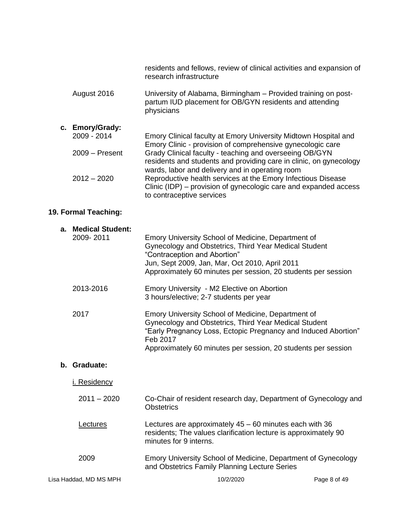|                  | residents and fellows, review of clinical activities and expansion of<br>research infrastructure                                                                                 |
|------------------|----------------------------------------------------------------------------------------------------------------------------------------------------------------------------------|
| August 2016      | University of Alabama, Birmingham – Provided training on post-<br>partum IUD placement for OB/GYN residents and attending<br>physicians                                          |
| c. Emory/Grady:  |                                                                                                                                                                                  |
| 2009 - 2014      | Emory Clinical faculty at Emory University Midtown Hospital and<br>Emory Clinic - provision of comprehensive gynecologic care                                                    |
| $2009 -$ Present | Grady Clinical faculty - teaching and overseeing OB/GYN<br>residents and students and providing care in clinic, on gynecology<br>wards, labor and delivery and in operating room |
| $2012 - 2020$    | Reproductive health services at the Emory Infectious Disease<br>Clinic (IDP) – provision of gynecologic care and expanded access<br>to contraceptive services                    |

# **19. Formal Teaching:**

| <b>Medical Student:</b><br>а.<br>2009-2011 | Emory University School of Medicine, Department of<br>Gynecology and Obstetrics, Third Year Medical Student<br>"Contraception and Abortion"<br>Jun, Sept 2009, Jan, Mar, Oct 2010, April 2011<br>Approximately 60 minutes per session, 20 students per session |              |
|--------------------------------------------|----------------------------------------------------------------------------------------------------------------------------------------------------------------------------------------------------------------------------------------------------------------|--------------|
| 2013-2016                                  | Emory University - M2 Elective on Abortion<br>3 hours/elective; 2-7 students per year                                                                                                                                                                          |              |
| 2017                                       | Emory University School of Medicine, Department of<br>Gynecology and Obstetrics, Third Year Medical Student<br>"Early Pregnancy Loss, Ectopic Pregnancy and Induced Abortion"<br>Feb 2017<br>Approximately 60 minutes per session, 20 students per session     |              |
| b. Graduate:                               |                                                                                                                                                                                                                                                                |              |
| i. Residency                               |                                                                                                                                                                                                                                                                |              |
| $2011 - 2020$                              | Co-Chair of resident research day, Department of Gynecology and<br><b>Obstetrics</b>                                                                                                                                                                           |              |
| Lectures                                   | Lectures are approximately $45 - 60$ minutes each with 36<br>residents; The values clarification lecture is approximately 90<br>minutes for 9 interns.                                                                                                         |              |
| 2009                                       | Emory University School of Medicine, Department of Gynecology<br>and Obstetrics Family Planning Lecture Series                                                                                                                                                 |              |
| Lisa Haddad, MD MS MPH                     | 10/2/2020                                                                                                                                                                                                                                                      | Page 8 of 49 |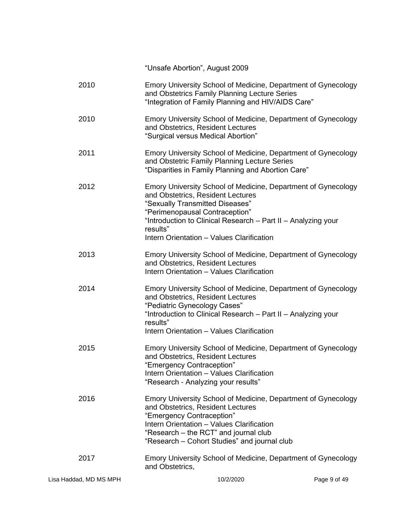| Lisa Haddad, MD MS MPH | 10/2/2020                                                                                                                                                                                                                                                                                         | Page 9 of 49 |
|------------------------|---------------------------------------------------------------------------------------------------------------------------------------------------------------------------------------------------------------------------------------------------------------------------------------------------|--------------|
| 2017                   | Emory University School of Medicine, Department of Gynecology<br>and Obstetrics,                                                                                                                                                                                                                  |              |
| 2016                   | Emory University School of Medicine, Department of Gynecology<br>and Obstetrics, Resident Lectures<br>"Emergency Contraception"<br>Intern Orientation - Values Clarification<br>"Research - the RCT" and journal club<br>"Research - Cohort Studies" and journal club                             |              |
| 2015                   | Emory University School of Medicine, Department of Gynecology<br>and Obstetrics, Resident Lectures<br>"Emergency Contraception"<br>Intern Orientation - Values Clarification<br>"Research - Analyzing your results"                                                                               |              |
| 2014                   | Emory University School of Medicine, Department of Gynecology<br>and Obstetrics, Resident Lectures<br>"Pediatric Gynecology Cases"<br>"Introduction to Clinical Research - Part II - Analyzing your<br>results"<br>Intern Orientation - Values Clarification                                      |              |
| 2013                   | Emory University School of Medicine, Department of Gynecology<br>and Obstetrics, Resident Lectures<br>Intern Orientation - Values Clarification                                                                                                                                                   |              |
| 2012                   | Emory University School of Medicine, Department of Gynecology<br>and Obstetrics, Resident Lectures<br>"Sexually Transmitted Diseases"<br>"Perimenopausal Contraception"<br>"Introduction to Clinical Research - Part II - Analyzing your<br>results"<br>Intern Orientation - Values Clarification |              |
| 2011                   | Emory University School of Medicine, Department of Gynecology<br>and Obstetric Family Planning Lecture Series<br>"Disparities in Family Planning and Abortion Care"                                                                                                                               |              |
| 2010                   | Emory University School of Medicine, Department of Gynecology<br>and Obstetrics, Resident Lectures<br>"Surgical versus Medical Abortion"                                                                                                                                                          |              |
| 2010                   | Emory University School of Medicine, Department of Gynecology<br>and Obstetrics Family Planning Lecture Series<br>"Integration of Family Planning and HIV/AIDS Care"                                                                                                                              |              |
|                        | "Unsafe Abortion", August 2009                                                                                                                                                                                                                                                                    |              |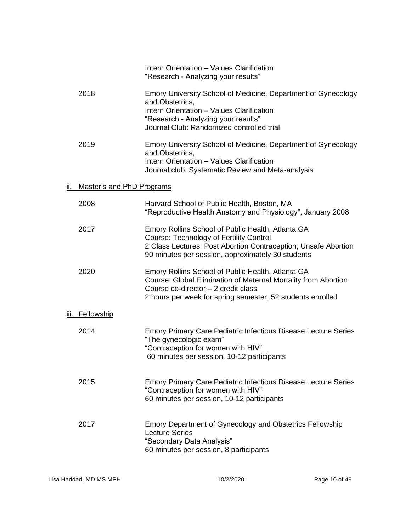|     |                           | Intern Orientation - Values Clarification<br>"Research - Analyzing your results"                                                                                                                                           |
|-----|---------------------------|----------------------------------------------------------------------------------------------------------------------------------------------------------------------------------------------------------------------------|
|     | 2018                      | Emory University School of Medicine, Department of Gynecology<br>and Obstetrics.<br>Intern Orientation - Values Clarification<br>"Research - Analyzing your results"<br>Journal Club: Randomized controlled trial          |
|     | 2019                      | Emory University School of Medicine, Department of Gynecology<br>and Obstetrics,<br>Intern Orientation - Values Clarification<br>Journal club: Systematic Review and Meta-analysis                                         |
| ii. | Master's and PhD Programs |                                                                                                                                                                                                                            |
|     | 2008                      | Harvard School of Public Health, Boston, MA<br>"Reproductive Health Anatomy and Physiology", January 2008                                                                                                                  |
|     | 2017                      | Emory Rollins School of Public Health, Atlanta GA<br><b>Course: Technology of Fertility Control</b><br>2 Class Lectures: Post Abortion Contraception; Unsafe Abortion<br>90 minutes per session, approximately 30 students |
|     | 2020                      | Emory Rollins School of Public Health, Atlanta GA<br>Course: Global Elimination of Maternal Mortality from Abortion<br>Course co-director - 2 credit class<br>2 hours per week for spring semester, 52 students enrolled   |
|     | <u>iii. Fellowship</u>    |                                                                                                                                                                                                                            |
|     | 2014                      | <b>Emory Primary Care Pediatric Infectious Disease Lecture Series</b><br>"The gynecologic exam"<br>"Contraception for women with HIV"<br>60 minutes per session, 10-12 participants                                        |
|     | 2015                      | <b>Emory Primary Care Pediatric Infectious Disease Lecture Series</b><br>"Contraception for women with HIV"<br>60 minutes per session, 10-12 participants                                                                  |
|     | 2017                      | Emory Department of Gynecology and Obstetrics Fellowship<br><b>Lecture Series</b><br>"Secondary Data Analysis"<br>60 minutes per session, 8 participants                                                                   |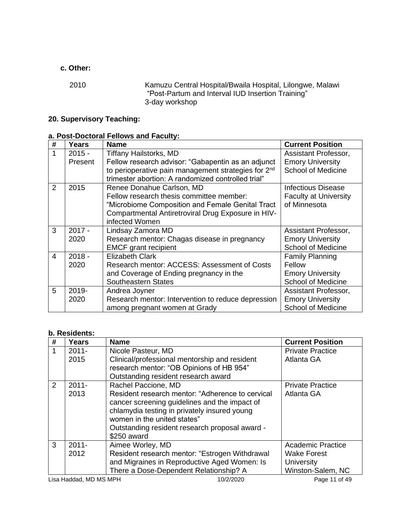# **c. Other:**

2010 Kamuzu Central Hospital/Bwaila Hospital, Lilongwe, Malawi "Post-Partum and Interval IUD Insertion Training" 3-day workshop

# **20. Supervisory Teaching:**

# **a. Post-Doctoral Fellows and Faculty:**

| #              | Years    | <b>Name</b>                                                     | <b>Current Position</b>   |
|----------------|----------|-----------------------------------------------------------------|---------------------------|
| 1              | $2015 -$ | <b>Tiffany Hailstorks, MD</b>                                   | Assistant Professor,      |
|                | Present  | Fellow research advisor: "Gabapentin as an adjunct              | <b>Emory University</b>   |
|                |          | to perioperative pain management strategies for 2 <sup>nd</sup> | <b>School of Medicine</b> |
|                |          | trimester abortion: A randomized controlled trial"              |                           |
| $\mathcal{P}$  | 2015     | Renee Donahue Carlson, MD                                       | <b>Infectious Disease</b> |
|                |          | Fellow research thesis committee member:                        | Faculty at University     |
|                |          | "Microbiome Composition and Female Genital Tract                | of Minnesota              |
|                |          | Compartmental Antiretroviral Drug Exposure in HIV-              |                           |
|                |          | infected Women                                                  |                           |
| 3              | $2017 -$ | Lindsay Zamora MD                                               | Assistant Professor,      |
|                | 2020     | Research mentor: Chagas disease in pregnancy                    | <b>Emory University</b>   |
|                |          | <b>EMCF</b> grant recipient                                     | <b>School of Medicine</b> |
| $\overline{4}$ | $2018 -$ | <b>Elizabeth Clark</b>                                          | <b>Family Planning</b>    |
|                | 2020     | Research mentor: ACCESS: Assessment of Costs                    | Fellow                    |
|                |          | and Coverage of Ending pregnancy in the                         | <b>Emory University</b>   |
|                |          | <b>Southeastern States</b>                                      | <b>School of Medicine</b> |
| 5              | 2019-    | Andrea Joyner                                                   | Assistant Professor,      |
|                | 2020     | Research mentor: Intervention to reduce depression              | <b>Emory University</b>   |
|                |          | among pregnant women at Grady                                   | <b>School of Medicine</b> |

# **b. Residents:**

| # | Years                  | <b>Name</b>                                      | <b>Current Position</b>  |
|---|------------------------|--------------------------------------------------|--------------------------|
| 1 | $2011 -$               | Nicole Pasteur, MD                               | <b>Private Practice</b>  |
|   | 2015                   | Clinical/professional mentorship and resident    | Atlanta GA               |
|   |                        | research mentor: "OB Opinions of HB 954"         |                          |
|   |                        | Outstanding resident research award              |                          |
| 2 | $2011 -$               | Rachel Paccione, MD                              | <b>Private Practice</b>  |
|   | 2013                   | Resident research mentor: "Adherence to cervical | Atlanta GA               |
|   |                        | cancer screening guidelines and the impact of    |                          |
|   |                        | chlamydia testing in privately insured young     |                          |
|   |                        | women in the united states"                      |                          |
|   |                        | Outstanding resident research proposal award -   |                          |
|   |                        | \$250 award                                      |                          |
| 3 | $2011 -$               | Aimee Worley, MD                                 | <b>Academic Practice</b> |
|   | 2012                   | Resident research mentor: "Estrogen Withdrawal   | <b>Wake Forest</b>       |
|   |                        | and Migraines in Reproductive Aged Women: Is     | University               |
|   |                        | There a Dose-Dependent Relationship? A           | Winston-Salem, NC        |
|   | Lisa Haddad, MD MS MPH | 10/2/2020                                        | Page 11 of 49            |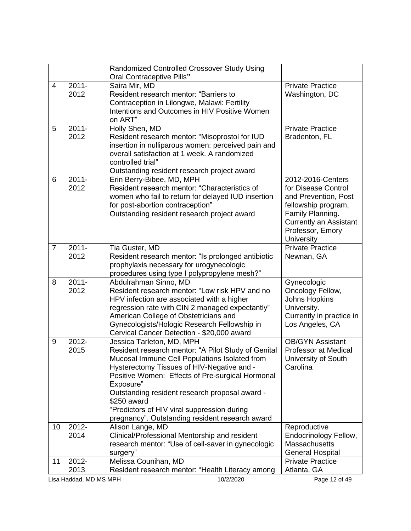| Oral Contraceptive Pills"<br>$2011 -$<br>$\overline{4}$<br>Saira Mir, MD<br><b>Private Practice</b><br>2012<br>Resident research mentor: "Barriers to<br>Washington, DC |  |
|-------------------------------------------------------------------------------------------------------------------------------------------------------------------------|--|
|                                                                                                                                                                         |  |
|                                                                                                                                                                         |  |
|                                                                                                                                                                         |  |
| Contraception in Lilongwe, Malawi: Fertility                                                                                                                            |  |
| Intentions and Outcomes in HIV Positive Women                                                                                                                           |  |
| on ART"                                                                                                                                                                 |  |
| $2011 -$<br>5<br><b>Private Practice</b><br>Holly Shen, MD                                                                                                              |  |
| 2012<br>Resident research mentor: "Misoprostol for IUD<br>Bradenton, FL                                                                                                 |  |
| insertion in nulliparous women: perceived pain and                                                                                                                      |  |
| overall satisfaction at 1 week. A randomized                                                                                                                            |  |
| controlled trial"                                                                                                                                                       |  |
| Outstanding resident research project award                                                                                                                             |  |
| 6<br>$2011 -$<br>Erin Berry-Bibee, MD, MPH<br>2012-2016-Centers                                                                                                         |  |
| 2012<br>Resident research mentor: "Characteristics of<br>for Disease Control                                                                                            |  |
| women who fail to return for delayed IUD insertion<br>and Prevention, Post                                                                                              |  |
| for post-abortion contraception"<br>fellowship program,                                                                                                                 |  |
| Outstanding resident research project award<br>Family Planning.                                                                                                         |  |
| <b>Currently an Assistant</b>                                                                                                                                           |  |
| Professor, Emory<br>University                                                                                                                                          |  |
| $\overline{7}$<br>$2011 -$<br><b>Private Practice</b><br>Tia Guster, MD                                                                                                 |  |
| 2012<br>Resident research mentor: "Is prolonged antibiotic<br>Newnan, GA                                                                                                |  |
| prophylaxis necessary for urogynecologic                                                                                                                                |  |
| procedures using type I polypropylene mesh?"                                                                                                                            |  |
| $2011 -$<br>8<br>Abdulrahman Sinno, MD<br>Gynecologic                                                                                                                   |  |
| 2012<br>Resident research mentor: "Low risk HPV and no<br>Oncology Fellow,                                                                                              |  |
| <b>Johns Hopkins</b><br>HPV infection are associated with a higher                                                                                                      |  |
| regression rate with CIN 2 managed expectantly"<br>University.                                                                                                          |  |
| American College of Obstetricians and<br>Currently in practice in                                                                                                       |  |
| Gynecologists/Hologic Research Fellowship in<br>Los Angeles, CA                                                                                                         |  |
| Cervical Cancer Detection - \$20,000 award                                                                                                                              |  |
| 2012-<br><b>OB/GYN Assistant</b><br>9<br>Jessica Tarleton, MD, MPH                                                                                                      |  |
| 2015<br>Resident research mentor: "A Pilot Study of Genital<br>Professor at Medical                                                                                     |  |
| Mucosal Immune Cell Populations Isolated from<br>University of South                                                                                                    |  |
| Hysterectomy Tissues of HIV-Negative and -<br>Carolina                                                                                                                  |  |
| Positive Women: Effects of Pre-surgical Hormonal                                                                                                                        |  |
| Exposure"                                                                                                                                                               |  |
| Outstanding resident research proposal award -                                                                                                                          |  |
| \$250 award                                                                                                                                                             |  |
| "Predictors of HIV viral suppression during                                                                                                                             |  |
| pregnancy". Outstanding resident research award<br>$2012 -$<br>10                                                                                                       |  |
| Alison Lange, MD<br>Reproductive<br>2014<br>Clinical/Professional Mentorship and resident<br>Endocrinology Fellow,                                                      |  |
| research mentor: "Use of cell-saver in gynecologic<br><b>Massachusetts</b>                                                                                              |  |
| <b>General Hospital</b><br>surgery"                                                                                                                                     |  |
| Melissa Counihan, MD<br>2012-<br><b>Private Practice</b><br>11                                                                                                          |  |
| 2013<br>Resident research mentor: "Health Literacy among<br>Atlanta, GA                                                                                                 |  |
| 10/2/2020<br>Page 12 of 49<br>Lisa Haddad, MD MS MPH                                                                                                                    |  |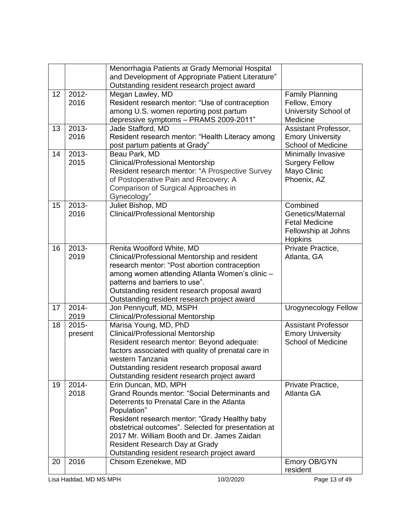|    |                                                      | Menorrhagia Patients at Grady Memorial Hospital     |                            |  |
|----|------------------------------------------------------|-----------------------------------------------------|----------------------------|--|
|    |                                                      | and Development of Appropriate Patient Literature"  |                            |  |
|    |                                                      | Outstanding resident research project award         |                            |  |
| 12 | 2012-                                                | Megan Lawley, MD                                    | <b>Family Planning</b>     |  |
|    | 2016                                                 | Resident research mentor: "Use of contraception     | Fellow, Emory              |  |
|    |                                                      | among U.S. women reporting post partum              | University School of       |  |
|    |                                                      | depressive symptoms - PRAMS 2009-2011"              | Medicine                   |  |
| 13 | 2013-                                                | Jade Stafford, MD                                   | Assistant Professor,       |  |
|    | 2016                                                 | Resident research mentor: "Health Literacy among    | <b>Emory University</b>    |  |
|    |                                                      | post partum patients at Grady"                      | <b>School of Medicine</b>  |  |
| 14 | 2013-                                                | Beau Park, MD                                       | Minimally Invasive         |  |
|    | 2015                                                 | <b>Clinical/Professional Mentorship</b>             | <b>Surgery Fellow</b>      |  |
|    |                                                      | Resident research mentor: "A Prospective Survey     | Mayo Clinic                |  |
|    |                                                      | of Postoperative Pain and Recovery: A               | Phoenix, AZ                |  |
|    |                                                      | Comparison of Surgical Approaches in                |                            |  |
|    |                                                      | Gynecology"                                         |                            |  |
| 15 | 2013-                                                | Juliet Bishop, MD                                   | Combined                   |  |
|    | 2016                                                 | <b>Clinical/Professional Mentorship</b>             | Genetics/Maternal          |  |
|    |                                                      |                                                     | <b>Fetal Medicine</b>      |  |
|    |                                                      |                                                     | Fellowship at Johns        |  |
|    |                                                      |                                                     | <b>Hopkins</b>             |  |
| 16 | $2013 -$                                             | Renita Woolford White, MD                           | Private Practice,          |  |
|    | 2019                                                 | Clinical/Professional Mentorship and resident       | Atlanta, GA                |  |
|    |                                                      | research mentor: "Post abortion contraception       |                            |  |
|    |                                                      | among women attending Atlanta Women's clinic -      |                            |  |
|    |                                                      | patterns and barriers to use".                      |                            |  |
|    |                                                      | Outstanding resident research proposal award        |                            |  |
|    |                                                      | Outstanding resident research project award         |                            |  |
| 17 | 2014-                                                | Jon Pennycuff, MD, MSPH                             | Urogynecology Fellow       |  |
|    | 2019                                                 | <b>Clinical/Professional Mentorship</b>             |                            |  |
| 18 | $2015 -$                                             | Marisa Young, MD, PhD                               | <b>Assistant Professor</b> |  |
|    | present                                              | <b>Clinical/Professional Mentorship</b>             | <b>Emory University</b>    |  |
|    |                                                      | Resident research mentor: Beyond adequate:          | <b>School of Medicine</b>  |  |
|    |                                                      | factors associated with quality of prenatal care in |                            |  |
|    |                                                      | western Tanzania                                    |                            |  |
|    |                                                      | Outstanding resident research proposal award        |                            |  |
|    |                                                      | Outstanding resident research project award         |                            |  |
| 19 | 2014-                                                | Erin Duncan, MD, MPH                                | Private Practice,          |  |
|    | 2018                                                 | Grand Rounds mentor: "Social Determinants and       | <b>Atlanta GA</b>          |  |
|    |                                                      | Deterrents to Prenatal Care in the Atlanta          |                            |  |
|    |                                                      | Population"                                         |                            |  |
|    |                                                      | Resident research mentor: "Grady Healthy baby       |                            |  |
|    |                                                      | obstetrical outcomes". Selected for presentation at |                            |  |
|    |                                                      | 2017 Mr. William Booth and Dr. James Zaidan         |                            |  |
|    |                                                      | Resident Research Day at Grady                      |                            |  |
|    |                                                      | Outstanding resident research project award         |                            |  |
| 20 | 2016                                                 | Chisom Ezenekwe, MD                                 | Emory OB/GYN               |  |
|    |                                                      |                                                     | resident                   |  |
|    | 10/2/2020<br>Page 13 of 49<br>Lisa Haddad, MD MS MPH |                                                     |                            |  |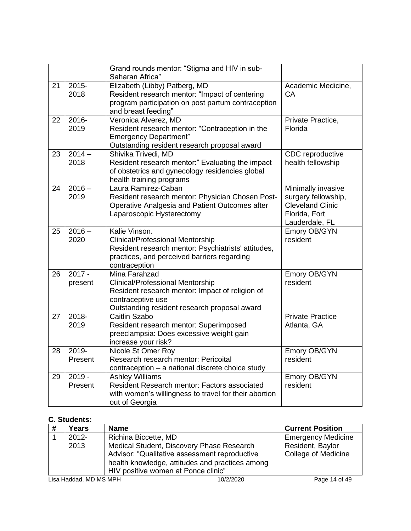|    |                  | Grand rounds mentor: "Stigma and HIV in sub-<br>Saharan Africa"                 |                          |
|----|------------------|---------------------------------------------------------------------------------|--------------------------|
| 21 | $2015 -$<br>2018 | Elizabeth (Libby) Patberg, MD<br>Resident research mentor: "Impact of centering | Academic Medicine,<br>CА |
|    |                  | program participation on post partum contraception                              |                          |
|    |                  | and breast feeding"                                                             |                          |
| 22 | 2016-            | Veronica Alverez, MD                                                            | Private Practice,        |
|    | 2019             | Resident research mentor: "Contraception in the                                 | Florida                  |
|    |                  | <b>Emergency Department"</b>                                                    |                          |
|    |                  | Outstanding resident research proposal award                                    |                          |
| 23 | $2014 -$         | Shivika Trivedi, MD                                                             | CDC reproductive         |
|    | 2018             | Resident research mentor:" Evaluating the impact                                | health fellowship        |
|    |                  | of obstetrics and gynecology residencies global<br>health training programs     |                          |
| 24 | $2016 -$         | Laura Ramirez-Caban                                                             | Minimally invasive       |
|    | 2019             | Resident research mentor: Physician Chosen Post-                                | surgery fellowship,      |
|    |                  | Operative Analgesia and Patient Outcomes after                                  | <b>Cleveland Clinic</b>  |
|    |                  | Laparoscopic Hysterectomy                                                       | Florida, Fort            |
|    |                  |                                                                                 | Lauderdale, FL           |
| 25 | $2016 -$         | Kalie Vinson.                                                                   | Emory OB/GYN             |
|    | 2020             | Clinical/Professional Mentorship                                                | resident                 |
|    |                  | Resident research mentor: Psychiatrists' attitudes,                             |                          |
|    |                  | practices, and perceived barriers regarding                                     |                          |
|    |                  | contraception                                                                   |                          |
| 26 | $2017 -$         | Mina Farahzad                                                                   | Emory OB/GYN             |
|    | present          | Clinical/Professional Mentorship                                                | resident                 |
|    |                  | Resident research mentor: Impact of religion of                                 |                          |
|    |                  | contraceptive use                                                               |                          |
|    |                  | Outstanding resident research proposal award                                    |                          |
| 27 | 2018-            | Caitlin Szabo                                                                   | <b>Private Practice</b>  |
|    | 2019             | Resident research mentor: Superimposed                                          | Atlanta, GA              |
|    |                  | preeclampsia: Does excessive weight gain                                        |                          |
| 28 | 2019-            | increase your risk?<br>Nicole St Omer Roy                                       | Emory OB/GYN             |
|    | Present          | Research research mentor: Pericoital                                            | resident                 |
|    |                  | contraception - a national discrete choice study                                |                          |
| 29 | $2019 -$         | <b>Ashley Williams</b>                                                          | Emory OB/GYN             |
|    | Present          | Resident Research mentor: Factors associated                                    | resident                 |
|    |                  | with women's willingness to travel for their abortion                           |                          |
|    |                  | out of Georgia                                                                  |                          |
|    |                  |                                                                                 |                          |

# **C. Students:**

| #                      | Years    | <b>Name</b>                                     | <b>Current Position</b>    |
|------------------------|----------|-------------------------------------------------|----------------------------|
|                        | $2012 -$ | Richina Biccette, MD                            | <b>Emergency Medicine</b>  |
|                        | 2013     | Medical Student, Discovery Phase Research       | Resident, Baylor           |
|                        |          | Advisor: "Qualitative assessment reproductive   | <b>College of Medicine</b> |
|                        |          | health knowledge, attitudes and practices among |                            |
|                        |          | HIV positive women at Ponce clinic"             |                            |
| Lisa Haddad, MD MS MPH |          | 10/2/2020                                       | Page 14 of 49              |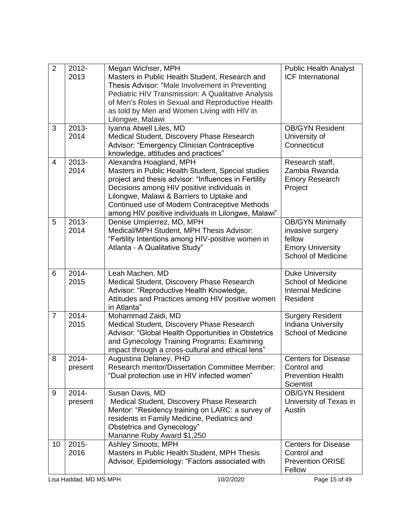| $\overline{2}$                      | 2012-<br>2013 | Megan Wichser, MPH<br>Masters in Public Health Student, Research and<br>Thesis Advisor: "Male Involvement in Preventing | <b>Public Health Analyst</b><br><b>ICF International</b> |
|-------------------------------------|---------------|-------------------------------------------------------------------------------------------------------------------------|----------------------------------------------------------|
|                                     |               | Pediatric HIV Transmission: A Qualitative Analysis                                                                      |                                                          |
|                                     |               | of Men's Roles in Sexual and Reproductive Health                                                                        |                                                          |
|                                     |               | as told by Men and Women Living with HIV in                                                                             |                                                          |
|                                     |               | Lilongwe, Malawi                                                                                                        |                                                          |
| 3                                   | 2013-<br>2014 | Iyanna Atwell Liles, MD                                                                                                 | <b>OB/GYN Resident</b>                                   |
|                                     |               | Medical Student, Discovery Phase Research<br>Advisor: "Emergency Clinician Contraceptive                                | University of<br>Connecticut                             |
|                                     |               | knowledge, attitudes and practices"                                                                                     |                                                          |
| $\overline{4}$                      | 2013-         | Alexandra Hoagland, MPH                                                                                                 | Research staff,                                          |
|                                     | 2014          | Masters in Public Health Student, Special studies                                                                       | Zambia Rwanda                                            |
|                                     |               | project and thesis advisor: "Influences in Fertility                                                                    | <b>Emory Research</b>                                    |
|                                     |               | Decisions among HIV positive individuals in                                                                             | Project                                                  |
|                                     |               | Lilongwe, Malawi & Barriers to Uptake and                                                                               |                                                          |
|                                     |               | Continued use of Modern Contraceptive Methods                                                                           |                                                          |
| 5                                   | 2013-         | among HIV positive individuals in Lilongwe, Malawi"<br>Denise Umpierrez, MD, MPH                                        | <b>OB/GYN Minimally</b>                                  |
|                                     | 2014          | Medical/MPH Student, MPH Thesis Advisor:                                                                                | invasive surgery                                         |
|                                     |               | "Fertility Intentions among HIV-positive women in                                                                       | fellow                                                   |
|                                     |               | Atlanta - A Qualitative Study"                                                                                          | <b>Emory University</b>                                  |
|                                     |               |                                                                                                                         | <b>School of Medicine</b>                                |
|                                     |               |                                                                                                                         |                                                          |
| 6                                   | 2014-         | Leah Machen, MD                                                                                                         | <b>Duke University</b>                                   |
|                                     | 2015          | Medical Student, Discovery Phase Research<br>Advisor: "Reproductive Health Knowledge,                                   | <b>School of Medicine</b><br><b>Internal Medicine</b>    |
|                                     |               | Attitudes and Practices among HIV positive women                                                                        | Resident                                                 |
|                                     |               | in Atlanta"                                                                                                             |                                                          |
| $\overline{7}$                      | 2014-         | Mohammad Zaidi, MD                                                                                                      | <b>Surgery Resident</b>                                  |
|                                     | 2015          | Medical Student, Discovery Phase Research                                                                               | <b>Indiana University</b>                                |
|                                     |               | Advisor: "Global Health Opportunities in Obstetrics                                                                     | <b>School of Medicine</b>                                |
|                                     |               | and Gynecology Training Programs: Examining                                                                             |                                                          |
| 8                                   | 2014-         | impact through a cross-cultural and ethical lens"<br>Augustina Delaney, PHD                                             | <b>Centers for Disease</b>                               |
|                                     | present       | <b>Research mentor/Dissertation Committee Member:</b>                                                                   | Control and                                              |
|                                     |               | "Dual protection use in HIV infected women"                                                                             | <b>Prevention Health</b>                                 |
|                                     |               |                                                                                                                         | <b>Scientist</b>                                         |
| 9                                   | 2014-         | Susan Davis, MD                                                                                                         | <b>OB/GYN Resident</b>                                   |
|                                     | present       | Medical Student, Discovery Phase Research                                                                               | University of Texas in                                   |
|                                     |               | Mentor: "Residency training on LARC: a survey of                                                                        | Austin                                                   |
|                                     |               | residents in Family Medicine, Pediatrics and                                                                            |                                                          |
|                                     |               | Obstetrics and Gynecology"                                                                                              |                                                          |
| 10                                  | $2015 -$      | Marianne Ruby Award \$1,250<br>Ashley Smoots, MPH                                                                       | <b>Centers for Disease</b>                               |
|                                     | 2016          | Masters in Public Health Student, MPH Thesis                                                                            | Control and                                              |
|                                     |               | Advisor, Epidemiology: "Factors associated with                                                                         | <b>Prevention ORISE</b>                                  |
|                                     |               |                                                                                                                         | Fellow                                                   |
| 10/2/2020<br>Lisa Haddad, MD MS MPH |               |                                                                                                                         | Page 15 of 49                                            |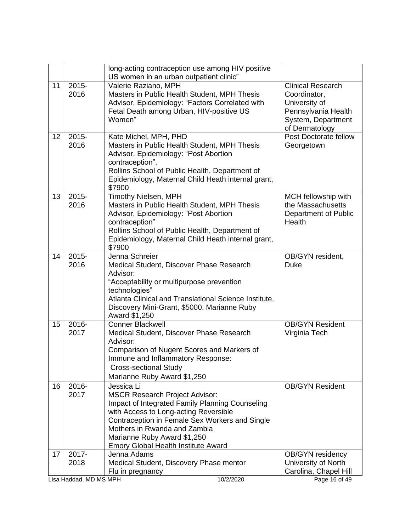|    |                        | long-acting contraception use among HIV positive<br>US women in an urban outpatient clinic"                                                                                                                                                                                                                    |                                                                                                                          |
|----|------------------------|----------------------------------------------------------------------------------------------------------------------------------------------------------------------------------------------------------------------------------------------------------------------------------------------------------------|--------------------------------------------------------------------------------------------------------------------------|
| 11 | $2015 -$<br>2016       | Valerie Raziano, MPH<br>Masters in Public Health Student, MPH Thesis<br>Advisor, Epidemiology: "Factors Correlated with<br>Fetal Death among Urban, HIV-positive US<br>Women"                                                                                                                                  | <b>Clinical Research</b><br>Coordinator,<br>University of<br>Pennsylvania Health<br>System, Department<br>of Dermatology |
| 12 | $2015 -$<br>2016       | Kate Michel, MPH, PHD<br>Masters in Public Health Student, MPH Thesis<br>Advisor, Epidemiology: "Post Abortion<br>contraception",<br>Rollins School of Public Health, Department of<br>Epidemiology, Maternal Child Heath internal grant,<br>\$7900                                                            | Post Doctorate fellow<br>Georgetown                                                                                      |
| 13 | $2015 -$<br>2016       | <b>Timothy Nielsen, MPH</b><br>Masters in Public Health Student, MPH Thesis<br>Advisor, Epidemiology: "Post Abortion<br>contraception"<br>Rollins School of Public Health, Department of<br>Epidemiology, Maternal Child Heath internal grant,<br>\$7900                                                       | MCH fellowship with<br>the Massachusetts<br>Department of Public<br>Health                                               |
| 14 | $2015 -$<br>2016       | Jenna Schreier<br>Medical Student, Discover Phase Research<br>Advisor:<br>"Acceptability or multipurpose prevention<br>technologies"<br>Atlanta Clinical and Translational Science Institute,<br>Discovery Mini-Grant, \$5000. Marianne Ruby<br>Award \$1,250                                                  | OB/GYN resident,<br><b>Duke</b>                                                                                          |
| 15 | 2016-<br>2017          | <b>Conner Blackwell</b><br>Medical Student, Discover Phase Research<br>Advisor:<br>Comparison of Nugent Scores and Markers of<br>Immune and Inflammatory Response:<br><b>Cross-sectional Study</b><br>Marianne Ruby Award \$1,250                                                                              | <b>OB/GYN Resident</b><br>Virginia Tech                                                                                  |
| 16 | 2016-<br>2017          | Jessica Li<br><b>MSCR Research Project Advisor:</b><br>Impact of Integrated Family Planning Counseling<br>with Access to Long-acting Reversible<br>Contraception in Female Sex Workers and Single<br>Mothers in Rwanda and Zambia<br>Marianne Ruby Award \$1,250<br><b>Emory Global Health Institute Award</b> | <b>OB/GYN Resident</b>                                                                                                   |
| 17 | 2017-<br>2018          | Jenna Adams<br>Medical Student, Discovery Phase mentor<br>Flu in pregnancy                                                                                                                                                                                                                                     | <b>OB/GYN</b> residency<br>University of North<br>Carolina, Chapel Hill                                                  |
|    | Lisa Haddad, MD MS MPH | 10/2/2020                                                                                                                                                                                                                                                                                                      | Page 16 of 49                                                                                                            |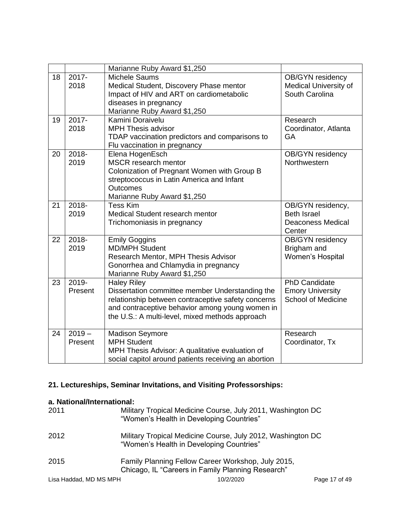|    |          | Marianne Ruby Award \$1,250                          |                           |
|----|----------|------------------------------------------------------|---------------------------|
| 18 | 2017-    | Michele Saums                                        | OB/GYN residency          |
|    | 2018     | Medical Student, Discovery Phase mentor              | Medical University of     |
|    |          | Impact of HIV and ART on cardiometabolic             | South Carolina            |
|    |          | diseases in pregnancy                                |                           |
|    |          | Marianne Ruby Award \$1,250                          |                           |
| 19 | 2017-    | Kamini Doraivelu                                     | Research                  |
|    | 2018     | <b>MPH Thesis advisor</b>                            | Coordinator, Atlanta      |
|    |          | TDAP vaccination predictors and comparisons to       | GA                        |
|    |          | Flu vaccination in pregnancy                         |                           |
| 20 | 2018-    | Elena HogenEsch                                      | <b>OB/GYN</b> residency   |
|    | 2019     | MSCR research mentor                                 | Northwestern              |
|    |          | Colonization of Pregnant Women with Group B          |                           |
|    |          | streptococcus in Latin America and Infant            |                           |
|    |          | <b>Outcomes</b>                                      |                           |
|    |          | Marianne Ruby Award \$1,250                          |                           |
| 21 | 2018-    | <b>Tess Kim</b>                                      | OB/GYN residency,         |
|    | 2019     | Medical Student research mentor                      | <b>Beth Israel</b>        |
|    |          | Trichomoniasis in pregnancy                          | <b>Deaconess Medical</b>  |
|    |          |                                                      | Center                    |
| 22 | 2018-    | <b>Emily Goggins</b>                                 | <b>OB/GYN</b> residency   |
|    | 2019     | <b>MD/MPH Student</b>                                | Brigham and               |
|    |          | Research Mentor, MPH Thesis Advisor                  | Women's Hospital          |
|    |          | Gonorrhea and Chlamydia in pregnancy                 |                           |
|    |          | Marianne Ruby Award \$1,250                          |                           |
| 23 | 2019-    | <b>Haley Riley</b>                                   | <b>PhD Candidate</b>      |
|    | Present  | Dissertation committee member Understanding the      | <b>Emory University</b>   |
|    |          | relationship between contraceptive safety concerns   | <b>School of Medicine</b> |
|    |          | and contraceptive behavior among young women in      |                           |
|    |          | the U.S.: A multi-level, mixed methods approach      |                           |
|    |          |                                                      |                           |
| 24 | $2019 -$ | <b>Madison Seymore</b>                               | Research                  |
|    | Present  | <b>MPH Student</b>                                   | Coordinator, Tx           |
|    |          | MPH Thesis Advisor: A qualitative evaluation of      |                           |
|    |          | social capitol around patients receiving an abortion |                           |

# **21. Lectureships, Seminar Invitations, and Visiting Professorships:**

# **a. National/International:**

| 2011                   | Military Tropical Medicine Course, July 2011, Washington DC<br>"Women's Health in Developing Countries" |               |
|------------------------|---------------------------------------------------------------------------------------------------------|---------------|
| 2012                   | Military Tropical Medicine Course, July 2012, Washington DC<br>"Women's Health in Developing Countries" |               |
| 2015                   | Family Planning Fellow Career Workshop, July 2015,<br>Chicago, IL "Careers in Family Planning Research" |               |
| Lisa Haddad, MD MS MPH | 10/2/2020                                                                                               | Page 17 of 49 |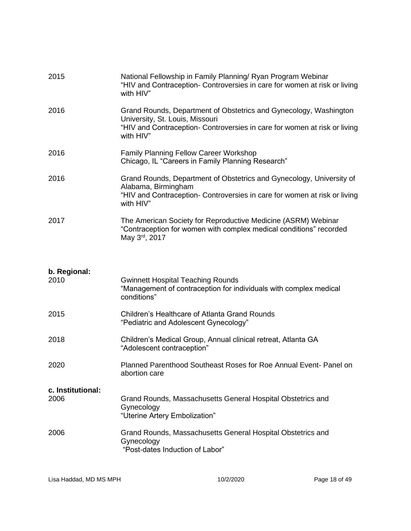| 2015                      | National Fellowship in Family Planning/ Ryan Program Webinar<br>"HIV and Contraception- Controversies in care for women at risk or living<br>with HIV"                                         |
|---------------------------|------------------------------------------------------------------------------------------------------------------------------------------------------------------------------------------------|
| 2016                      | Grand Rounds, Department of Obstetrics and Gynecology, Washington<br>University, St. Louis, Missouri<br>"HIV and Contraception- Controversies in care for women at risk or living<br>with HIV" |
| 2016                      | <b>Family Planning Fellow Career Workshop</b><br>Chicago, IL "Careers in Family Planning Research"                                                                                             |
| 2016                      | Grand Rounds, Department of Obstetrics and Gynecology, University of<br>Alabama, Birmingham<br>"HIV and Contraception- Controversies in care for women at risk or living<br>with HIV"          |
| 2017                      | The American Society for Reproductive Medicine (ASRM) Webinar<br>"Contraception for women with complex medical conditions" recorded<br>May 3 <sup>rd</sup> , 2017                              |
| b. Regional:<br>2010      | <b>Gwinnett Hospital Teaching Rounds</b><br>"Management of contraception for individuals with complex medical<br>conditions"                                                                   |
| 2015                      | <b>Children's Healthcare of Atlanta Grand Rounds</b><br>"Pediatric and Adolescent Gynecology"                                                                                                  |
| 2018                      | Children's Medical Group, Annual clinical retreat, Atlanta GA<br>"Adolescent contraception"                                                                                                    |
| 2020                      | Planned Parenthood Southeast Roses for Roe Annual Event- Panel on<br>abortion care                                                                                                             |
| c. Institutional:<br>2006 | Grand Rounds, Massachusetts General Hospital Obstetrics and<br>Gynecology<br>"Uterine Artery Embolization"                                                                                     |
| 2006                      | Grand Rounds, Massachusetts General Hospital Obstetrics and<br>Gynecology<br>"Post-dates Induction of Labor"                                                                                   |
|                           |                                                                                                                                                                                                |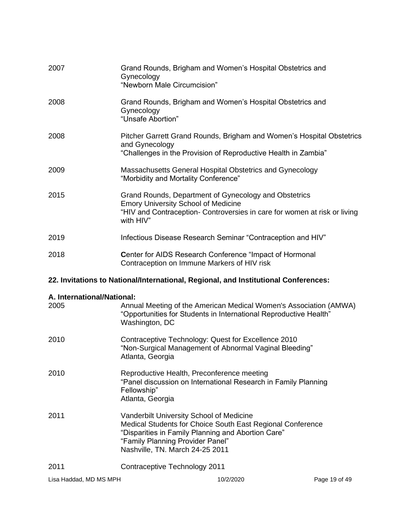| 2007 | Grand Rounds, Brigham and Women's Hospital Obstetrics and<br>Gynecology<br>"Newborn Male Circumcision"                                                                                        |
|------|-----------------------------------------------------------------------------------------------------------------------------------------------------------------------------------------------|
| 2008 | Grand Rounds, Brigham and Women's Hospital Obstetrics and<br>Gynecology<br>"Unsafe Abortion"                                                                                                  |
| 2008 | Pitcher Garrett Grand Rounds, Brigham and Women's Hospital Obstetrics<br>and Gynecology<br>"Challenges in the Provision of Reproductive Health in Zambia"                                     |
| 2009 | Massachusetts General Hospital Obstetrics and Gynecology<br>"Morbidity and Mortality Conference"                                                                                              |
| 2015 | Grand Rounds, Department of Gynecology and Obstetrics<br><b>Emory University School of Medicine</b><br>"HIV and Contraception- Controversies in care for women at risk or living<br>with HIV" |
| 2019 | Infectious Disease Research Seminar "Contraception and HIV"                                                                                                                                   |
| 2018 | <b>Center for AIDS Research Conference "Impact of Hormonal</b><br>Contraception on Immune Markers of HIV risk                                                                                 |

# **22. Invitations to National/International, Regional, and Institutional Conferences:**

# **A. International/National:**

| 2005                   | Annual Meeting of the American Medical Women's Association (AMWA)<br>"Opportunities for Students in International Reproductive Health"<br>Washington, DC                                                                            |           |               |
|------------------------|-------------------------------------------------------------------------------------------------------------------------------------------------------------------------------------------------------------------------------------|-----------|---------------|
| 2010                   | Contraceptive Technology: Quest for Excellence 2010<br>"Non-Surgical Management of Abnormal Vaginal Bleeding"<br>Atlanta, Georgia                                                                                                   |           |               |
| 2010                   | Reproductive Health, Preconference meeting<br>"Panel discussion on International Research in Family Planning<br>Fellowship"<br>Atlanta, Georgia                                                                                     |           |               |
| 2011                   | Vanderbilt University School of Medicine<br>Medical Students for Choice South East Regional Conference<br>"Disparities in Family Planning and Abortion Care"<br>"Family Planning Provider Panel"<br>Nashville, TN. March 24-25 2011 |           |               |
| 2011                   | Contraceptive Technology 2011                                                                                                                                                                                                       |           |               |
| Lisa Haddad, MD MS MPH |                                                                                                                                                                                                                                     | 10/2/2020 | Page 19 of 49 |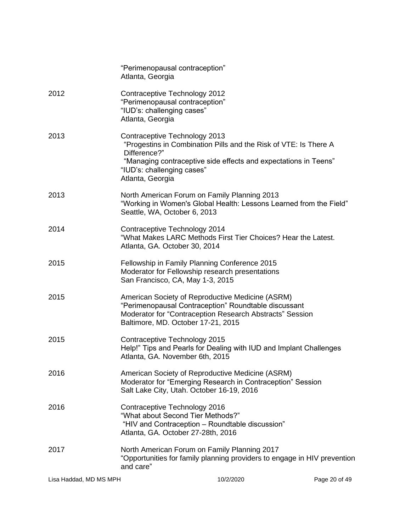| Lisa Haddad, MD MS MPH |                                                                                                                                                             | 10/2/2020                                                                                                                           | Page 20 of 49 |
|------------------------|-------------------------------------------------------------------------------------------------------------------------------------------------------------|-------------------------------------------------------------------------------------------------------------------------------------|---------------|
| 2017                   | North American Forum on Family Planning 2017<br>and care"                                                                                                   | "Opportunities for family planning providers to engage in HIV prevention                                                            |               |
| 2016                   | Contraceptive Technology 2016<br>"What about Second Tier Methods?"<br>"HIV and Contraception - Roundtable discussion"<br>Atlanta, GA. October 27-28th, 2016 |                                                                                                                                     |               |
| 2016                   | American Society of Reproductive Medicine (ASRM)<br>Salt Lake City, Utah. October 16-19, 2016                                                               | Moderator for "Emerging Research in Contraception" Session                                                                          |               |
| 2015                   | Contraceptive Technology 2015<br>Atlanta, GA. November 6th, 2015                                                                                            | Help!" Tips and Pearls for Dealing with IUD and Implant Challenges                                                                  |               |
| 2015                   | American Society of Reproductive Medicine (ASRM)<br>"Perimenopausal Contraception" Roundtable discussant<br>Baltimore, MD. October 17-21, 2015              | Moderator for "Contraception Research Abstracts" Session                                                                            |               |
| 2015                   | Fellowship in Family Planning Conference 2015<br>Moderator for Fellowship research presentations<br>San Francisco, CA, May 1-3, 2015                        |                                                                                                                                     |               |
| 2014                   | Contraceptive Technology 2014<br>Atlanta, GA. October 30, 2014                                                                                              | "What Makes LARC Methods First Tier Choices? Hear the Latest.                                                                       |               |
| 2013                   | North American Forum on Family Planning 2013<br>Seattle, WA, October 6, 2013                                                                                | "Working in Women's Global Health: Lessons Learned from the Field"                                                                  |               |
| 2013                   | Contraceptive Technology 2013<br>Difference?"<br>"IUD's: challenging cases"<br>Atlanta, Georgia                                                             | "Progestins in Combination Pills and the Risk of VTE: Is There A<br>"Managing contraceptive side effects and expectations in Teens" |               |
| 2012                   | Contraceptive Technology 2012<br>"Perimenopausal contraception"<br>"IUD's: challenging cases"<br>Atlanta, Georgia                                           |                                                                                                                                     |               |
|                        | "Perimenopausal contraception"<br>Atlanta, Georgia                                                                                                          |                                                                                                                                     |               |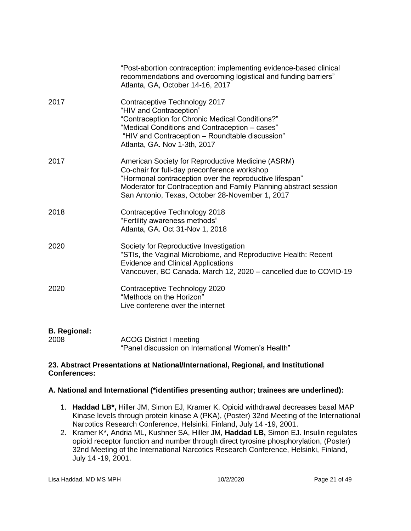|                             | "Post-abortion contraception: implementing evidence-based clinical<br>recommendations and overcoming logistical and funding barriers"<br>Atlanta, GA, October 14-16, 2017                                                                                                           |
|-----------------------------|-------------------------------------------------------------------------------------------------------------------------------------------------------------------------------------------------------------------------------------------------------------------------------------|
| 2017                        | Contraceptive Technology 2017<br>"HIV and Contraception"<br>"Contraception for Chronic Medical Conditions?"<br>"Medical Conditions and Contraception - cases"<br>"HIV and Contraception - Roundtable discussion"<br>Atlanta, GA. Nov 1-3th, 2017                                    |
| 2017                        | American Society for Reproductive Medicine (ASRM)<br>Co-chair for full-day preconference workshop<br>"Hormonal contraception over the reproductive lifespan"<br>Moderator for Contraception and Family Planning abstract session<br>San Antonio, Texas, October 28-November 1, 2017 |
| 2018                        | Contraceptive Technology 2018<br>"Fertility awareness methods"<br>Atlanta, GA. Oct 31-Nov 1, 2018                                                                                                                                                                                   |
| 2020                        | Society for Reproductive Investigation<br>"STIs, the Vaginal Microbiome, and Reproductive Health: Recent<br><b>Evidence and Clinical Applications</b><br>Vancouver, BC Canada. March 12, 2020 - cancelled due to COVID-19                                                           |
| 2020                        | Contraceptive Technology 2020<br>"Methods on the Horizon"<br>Live conferene over the internet                                                                                                                                                                                       |
| <b>B.</b> Regional:<br>2008 | <b>ACOG District I meeting</b><br>"Panel discussion on International Women's Health"                                                                                                                                                                                                |

### **23. Abstract Presentations at National/International, Regional, and Institutional Conferences:**

# **A. National and International (\*identifies presenting author; trainees are underlined):**

- 1. **Haddad LB\*,** Hiller JM, Simon EJ, Kramer K. Opioid withdrawal decreases basal MAP Kinase levels through protein kinase A (PKA), (Poster) 32nd Meeting of the International Narcotics Research Conference, Helsinki, Finland, July 14 -19, 2001.
- 2. Kramer K\*, Andria ML, Kushner SA, Hiller JM, **Haddad LB,** Simon EJ. Insulin regulates opioid receptor function and number through direct tyrosine phosphorylation, (Poster) 32nd Meeting of the International Narcotics Research Conference, Helsinki, Finland, July 14 -19, 2001.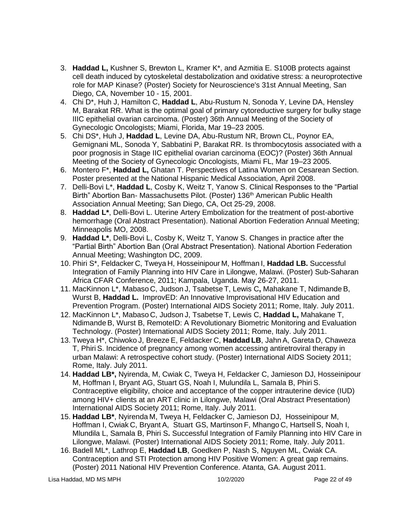- 3. **Haddad L,** Kushner S, Brewton L, Kramer K\*, and Azmitia E. S100B protects against cell death induced by cytoskeletal destabolization and oxidative stress: a neuroprotective role for MAP Kinase? (Poster) Society for Neuroscience's 31st Annual Meeting, San Diego, CA, November 10 - 15, 2001.
- 4. Chi D\*, Huh J, Hamilton C, **Haddad L**, Abu-Rustum N, Sonoda Y, Levine DA, Hensley M, Barakat RR. What is the optimal goal of primary cytoreductive surgery for bulky stage IIIC epithelial ovarian carcinoma. (Poster) 36th Annual Meeting of the Society of Gynecologic Oncologists; Miami, Florida, Mar 19–23 2005.
- 5. Chi DS\*, Huh J, **Haddad L**, Levine DA, Abu-Rustum NR, Brown CL, Poynor EA, Gemignani ML, Sonoda Y, Sabbatini P, Barakat RR. Is thrombocytosis associated with a poor prognosis in Stage IIC epithelial ovarian carcinoma (EOC)? (Poster) 36th Annual Meeting of the Society of Gynecologic Oncologists, Miami FL, Mar 19–23 2005.
- 6. Montero F\*, **Haddad L,** Ghatan T. Perspectives of Latina Women on Cesarean Section. Poster presented at the National Hispanic Medical Association, April 2008.
- 7. Delli-Bovi L\*, **Haddad L**, Cosby K, Weitz T, Yanow S. Clinical Responses to the "Partial Birth" Abortion Ban- Massachusetts Pilot. (Poster) 136<sup>th</sup> American Public Health Association Annual Meeting; San Diego, CA, Oct 25-29, 2008.
- 8. **Haddad L\***, Delli-Bovi L. Uterine Artery Embolization for the treatment of post-abortive hemorrhage (Oral Abstract Presentation). National Abortion Federation Annual Meeting; Minneapolis MO, 2008.
- 9. **Haddad L\***, Delli-Bovi L, Cosby K, Weitz T, Yanow S. Changes in practice after the "Partial Birth" Abortion Ban (Oral Abstract Presentation). National Abortion Federation Annual Meeting; Washington DC, 2009.
- 10. Phiri S\*, Feldacker C, Tweya H, Hosseinipour M, Hoffman I, **Haddad LB.** Successful Integration of Family Planning into HIV Care in Lilongwe, Malawi. (Poster) Sub-Saharan Africa CFAR Conference, 2011; Kampala, Uganda. May 26-27, 2011.
- 11. MacKinnon L\*, Mabaso C, Judson J, Tsabetse T, Lewis C**,** Mahakane T, Ndimande B, Wurst B, **Haddad L.** ImprovED: An Innovative Improvisational HIV Education and Prevention Program. (Poster) International AIDS Society 2011; Rome, Italy. July 2011.
- 12. MacKinnon L\*, Mabaso C, Judson J, Tsabetse T, Lewis C, **Haddad L,** Mahakane T, Ndimande B, Wurst B, RemoteID: A Revolutionary Biometric Monitoring and Evaluation Technology. (Poster) International AIDS Society 2011; Rome, Italy. July 2011.
- 13. Tweya H\*, Chiwoko J, Breeze E, Feldacker C, **Haddad LB**, Jahn A, Gareta D, Chaweza T, Phiri S. Incidence of pregnancy among women accessing antiretroviral therapy in urban Malawi: A retrospective cohort study. (Poster) International AIDS Society 2011; Rome, Italy. July 2011.
- 14. **Haddad LB\*,** Nyirenda, M, Cwiak C, Tweya H, Feldacker C, Jamieson DJ, Hosseinipour M, Hoffman I, Bryant AG, Stuart GS, Noah I, Mulundila L, Samala B, Phiri S. Contraceptive eligibility, choice and acceptance of the copper intrauterine device (IUD) among HIV+ clients at an ART clinic in Lilongwe, Malawi (Oral Abstract Presentation) International AIDS Society 2011; Rome, Italy. July 2011.
- 15. **Haddad LB\***, Nyirenda M, Tweya H, Feldacker C, Jamieson DJ, Hosseinipour M, Hoffman I, Cwiak C, Bryant A, Stuart GS, Martinson F, Mhango C, Hartsell S, Noah I, Mlundila L, Samala B, Phiri S**.** Successful Integration of Family Planning into HIV Care in Lilongwe, Malawi. (Poster) International AIDS Society 2011; Rome, Italy. July 2011.
- 16. Badell ML\*, Lathrop E, **Haddad LB**, Goedken P, Nash S, Nguyen ML, Cwiak CA. Contraception and STI Protection among HIV Positive Women: A great gap remains. (Poster) 2011 National HIV Prevention Conference. Atanta, GA. August 2011.

Lisa Haddad, MD MS MPH 10/2/2020 Page 22 of 49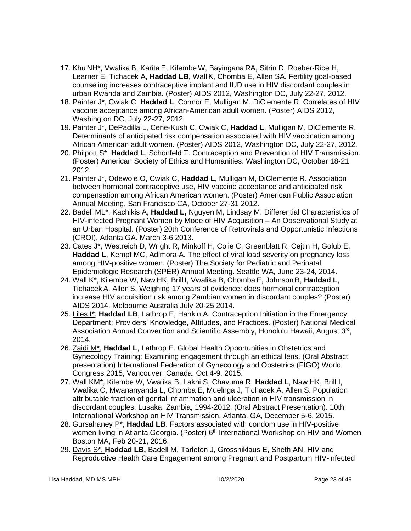- 17. Khu NH\*, Vwalika B, Karita E, Kilembe W, Bayingana RA, Sitrin D, Roeber-Rice H, Learner E, Tichacek A, **Haddad LB**, Wall K, Chomba E, Allen SA. Fertility goal-based counseling increases contraceptive implant and IUD use in HIV discordant couples in urban Rwanda and Zambia. (Poster) AIDS 2012, Washington DC, July 22-27, 2012.
- 18. Painter J\*, Cwiak C, **Haddad L**, Connor E, Mulligan M, DiClemente R. Correlates of HIV vaccine acceptance among African-American adult women. (Poster) AIDS 2012, Washington DC, July 22-27, 2012.
- 19. Painter J\*, DePadilla L, Cene-Kush C, Cwiak C, **Haddad L**, Mulligan M, DiClemente R. Determinants of anticipated risk compensation associated with HIV vaccination among African American adult women. (Poster) AIDS 2012, Washington DC, July 22-27, 2012.
- 20. Philpott S\*, **Haddad L**, Schonfeld T. Contraception and Prevention of HIV Transmission. (Poster) American Society of Ethics and Humanities. Washington DC, October 18-21 2012.
- 21. Painter J\*, Odewole O, Cwiak C, **Haddad L**, Mulligan M, DiClemente R. Association between hormonal contraceptive use, HIV vaccine acceptance and anticipated risk compensation among African American women. (Poster) American Public Association Annual Meeting, San Francisco CA, October 27-31 2012.
- 22. Badell ML\*, Kachikis A, **Haddad L,** Nguyen M, Lindsay M. Differential Characteristics of HIV-infected Pregnant Women by Mode of HIV Acquisition – An Observational Study at an Urban Hospital. (Poster) 20th Conference of Retrovirals and Opportunistic Infections (CROI), Atlanta GA. March 3-6 2013.
- 23. Cates J\*, Westreich D, Wright R, Minkoff H, Colie C, Greenblatt R, Cejtin H, Golub E, **Haddad L**, Kempf MC, Adimora A. The effect of viral load severity on pregnancy loss among HIV-positive women. (Poster) The Society for Pediatric and Perinatal Epidemiologic Research (SPER) Annual Meeting. Seattle WA, June 23-24, 2014.
- 24. Wall K\*, Kilembe W, Naw HK, Brill I, Vwalika B, Chomba E, Johnson B, **Haddad L**, Tichacek A, Allen S. Weighing 17 years of evidence: does hormonal contraception increase HIV acquisition risk among Zambian women in discordant couples? (Poster) AIDS 2014. Melbourne Australia July 20-25 2014.
- 25. Liles I\*, **Haddad LB**, Lathrop E, Hankin A. Contraception Initiation in the Emergency Department: Providers' Knowledge, Attitudes, and Practices. (Poster) National Medical Association Annual Convention and Scientific Assembly, Honolulu Hawaii, August 3<sup>rd</sup>, 2014.
- 26. Zaidi M\*, **Haddad L**, Lathrop E. Global Health Opportunities in Obstetrics and Gynecology Training: Examining engagement through an ethical lens. (Oral Abstract presentation) International Federation of Gynecology and Obstetrics (FIGO) World Congress 2015, Vancouver, Canada. Oct 4-9, 2015.
- 27. Wall KM\*, Kilembe W, Vwalika B, Lakhi S, Chavuma R, **Haddad L**, Naw HK, Brill I, Vwalika C, Mwananyanda L, Chomba E, Muelnga J, Tichacek A, Allen S. Population attributable fraction of genital inflammation and ulceration in HIV transmission in discordant couples, Lusaka, Zambia, 1994-2012. (Oral Abstract Presentation). 10th International Workshop on HIV Transmission, Atlanta, GA, December 5-6, 2015.
- 28. Gursahaney P\*, **Haddad LB**. Factors associated with condom use in HIV-positive women living in Atlanta Georgia. (Poster) 6<sup>th</sup> International Workshop on HIV and Women Boston MA, Feb 20-21, 2016.
- 29. Davis S\*, **Haddad LB,** Badell M, Tarleton J, Grossniklaus E, Sheth AN. HIV and Reproductive Health Care Engagement among Pregnant and Postpartum HIV-infected

Lisa Haddad, MD MS MPH 10/2/2020 Page 23 of 49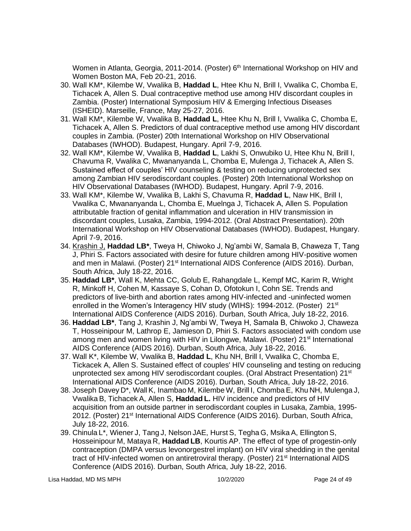Women in Atlanta, Georgia, 2011-2014. (Poster) 6<sup>th</sup> International Workshop on HIV and Women Boston MA, Feb 20-21, 2016.

- 30. Wall KM\*, Kilembe W, Vwalika B, **Haddad L**, Htee Khu N, Brill I, Vwalika C, Chomba E, Tichacek A, Allen S. Dual contraceptive method use among HIV discordant couples in Zambia. (Poster) International Symposium HIV & Emerging Infectious Diseases (ISHEID). Marseille, France, May 25-27, 2016.
- 31. Wall KM\*, Kilembe W, Vwalika B, **Haddad L**, Htee Khu N, Brill I, Vwalika C, Chomba E, Tichacek A, Allen S. Predictors of dual contraceptive method use among HIV discordant couples in Zambia. (Poster) 20th International Workshop on HIV Observational Databases (IWHOD). Budapest, Hungary. April 7-9, 2016.
- 32. Wall KM\*, Kilembe W, Vwalika B, **Haddad L**, Lakhi S, Onwubiko U, Htee Khu N, Brill I, Chavuma R, Vwalika C, Mwananyanda L, Chomba E, Mulenga J, Tichacek A, Allen S. Sustained effect of couples' HIV counseling & testing on reducing unprotected sex among Zambian HIV serodiscordant couples. (Poster) 20th International Workshop on HIV Observational Databases (IWHOD). Budapest, Hungary. April 7-9, 2016.
- 33. Wall KM\*, Kilembe W, Vwalika B, Lakhi S, Chavuma R, **Haddad L**, Naw HK, Brill I, Vwalika C, Mwananyanda L, Chomba E, Muelnga J, Tichacek A, Allen S. Population attributable fraction of genital inflammation and ulceration in HIV transmission in discordant couples, Lusaka, Zambia, 1994-2012. (Oral Abstract Presentation). 20th International Workshop on HIV Observational Databases (IWHOD). Budapest, Hungary. April 7-9, 2016.
- 34. Krashin J, **Haddad LB\***, Tweya H, Chiwoko J, Ng'ambi W, Samala B, Chaweza T, Tang J, Phiri S. Factors associated with desire for future children among HIV-positive women and men in Malawi. (Poster) 21<sup>st</sup> International AIDS Conference (AIDS 2016). Durban, South Africa, July 18-22, 2016.
- 35. **Haddad LB\***, Wall K, Mehta CC, Golub E, Rahangdale L, Kempf MC, Karim R, Wright R, Minkoff H, Cohen M, Kassaye S, Cohan D, Ofotokun I, Cohn SE. Trends and predictors of live-birth and abortion rates among HIV-infected and -uninfected women enrolled in the Women's Interagency HIV study (WIHS): 1994-2012. (Poster) 21<sup>st</sup> International AIDS Conference (AIDS 2016). Durban, South Africa, July 18-22, 2016.
- 36. **Haddad LB\***, Tang J, Krashin J, Ng'ambi W, Tweya H, Samala B, Chiwoko J, Chaweza T, Hosseinipour M, Lathrop E, Jamieson D, Phiri S. Factors associated with condom use among men and women living with HIV in Lilongwe, Malawi. (Poster) 21<sup>st</sup> International AIDS Conference (AIDS 2016). Durban, South Africa, July 18-22, 2016.
- 37. Wall K\*, Kilembe W, Vwalika B, **Haddad L**, Khu NH, Brill I, Vwalika C, Chomba E, Tickacek A, Allen S. Sustained effect of couples' HIV counseling and testing on reducing unprotected sex among HIV serodiscordant couples. (Oral Abstract Presentation) 21<sup>st</sup> International AIDS Conference (AIDS 2016). Durban, South Africa, July 18-22, 2016.
- 38. Joseph Davey D\*, Wall K, Inambao M, Kilembe W, Brill I, Chomba E, Khu NH, Mulenga J, Vwalika B, Tichacek A, Allen S, **Haddad L.** HIV incidence and predictors of HIV acquisition from an outside partner in serodiscordant couples in Lusaka, Zambia, 1995- 2012. (Poster) 21<sup>st</sup> International AIDS Conference (AIDS 2016). Durban, South Africa, July 18-22, 2016.
- 39. Chinula L\*, Wiener J, Tang J, Nelson JAE, Hurst S, Tegha G, Msika A, Ellington S, Hosseinipour M, Mataya R, **Haddad LB**, Kourtis AP. The effect of type of progestin-only contraception (DMPA versus levonorgestrel implant) on HIV viral shedding in the genital tract of HIV-infected women on antiretroviral therapy. (Poster) 21<sup>st</sup> International AIDS Conference (AIDS 2016). Durban, South Africa, July 18-22, 2016.

Lisa Haddad, MD MS MPH 10/2/2020 Page 24 of 49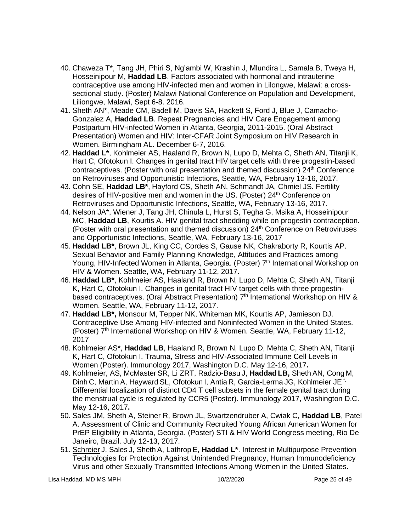- 40. Chaweza T\*, Tang JH, Phiri S, Ng'ambi W, Krashin J, Mlundira L, Samala B, Tweya H, Hosseinipour M, **Haddad LB**. Factors associated with hormonal and intrauterine contraceptive use among HIV-infected men and women in Lilongwe, Malawi: a crosssectional study. (Poster) Malawi National Conference on Population and Development, Liliongwe, Malawi, Sept 6-8. 2016.
- 41. Sheth AN\*, Meade CM, Badell M, Davis SA, Hackett S, Ford J, Blue J, Camacho-Gonzalez A, **Haddad LB**. Repeat Pregnancies and HIV Care Engagement among Postpartum HIV-infected Women in Atlanta, Georgia, 2011-2015. (Oral Abstract Presentation) Women and HIV: Inter-CFAR Joint Symposium on HIV Research in Women. Birmingham AL. December 6-7, 2016.
- 42. **Haddad L\***, Kohlmeier AS, Haaland R, Brown N, Lupo D, Mehta C, Sheth AN, Titanji K, Hart C, Ofotokun I. Changes in genital tract HIV target cells with three progestin-based contraceptives. (Poster with oral presentation and themed discussion) 24<sup>th</sup> Conference on Retroviruses and Opportunistic Infections, Seattle, WA, February 13-16, 2017.
- 43. Cohn SE, **Haddad LB\***, Hayford CS, Sheth AN, Schmandt JA, Chmiel JS. Fertility desires of HIV-positive men and women in the US. (Poster) 24<sup>th</sup> Conference on Retroviruses and Opportunistic Infections, Seattle, WA, February 13-16, 2017.
- 44. Nelson JA\*, Wiener J, Tang JH, Chinula L, Hurst S, Tegha G, Msika A, Hosseinipour MC, **Haddad LB**, Kourtis A. HIV genital tract shedding while on progestin contraception. (Poster with oral presentation and themed discussion) 24th Conference on Retroviruses and Opportunistic Infections, Seattle, WA, February 13-16, 2017
- 45. **Haddad LB\***, Brown JL, King CC, Cordes S, Gause NK, Chakraborty R, Kourtis AP. Sexual Behavior and Family Planning Knowledge, Attitudes and Practices among Young, HIV-Infected Women in Atlanta, Georgia. (Poster) 7<sup>th</sup> International Workshop on HIV & Women. Seattle, WA, February 11-12, 2017.
- 46. **Haddad LB\***, Kohlmeier AS, Haaland R, Brown N, Lupo D, Mehta C, Sheth AN, Titanji K, Hart C, Ofotokun I. Changes in genital tract HIV target cells with three progestinbased contraceptives. (Oral Abstract Presentation) 7<sup>th</sup> International Workshop on HIV & Women. Seattle, WA, February 11-12, 2017.
- 47. **Haddad LB\*,** Monsour M, Tepper NK, Whiteman MK, Kourtis AP, Jamieson DJ. Contraceptive Use Among HIV-infected and Noninfected Women in the United States. (Poster) 7<sup>th</sup> International Workshop on HIV & Women. Seattle, WA, February 11-12, 2017
- 48. Kohlmeier AS\*, **Haddad LB**, Haaland R, Brown N, Lupo D, Mehta C, Sheth AN, Titanji K, Hart C, Ofotokun I. Trauma, Stress and HIV-Associated Immune Cell Levels in Women (Poster). Immunology 2017, Washington D.C. May 12-16, 2017**.**
- 49. Kohlmeier, AS, McMaster SR, Li ZRT, Radzio-Basu J, **Haddad LB,** ShethAN, Cong M, Dinh C, Martin A, Hayward SL, Ofotokun I, Antia R, Garcia-Lerma JG, Kohlmeier JE \*. Differential localization of distinct CD4 T cell subsets in the female genital tract during the menstrual cycle is regulated by CCR5 (Poster). Immunology 2017, Washington D.C. May 12-16, 2017**.**
- 50. Sales JM, Sheth A, Steiner R, Brown JL, Swartzendruber A, Cwiak C, **Haddad LB**, Patel A. Assessment of Clinic and Community Recruited Young African American Women for PrEP Eligibility in Atlanta, Georgia. (Poster) STI & HIV World Congress meeting, Rio De Janeiro, Brazil. July 12-13, 2017.
- 51. Schreier J, Sales J, Sheth A, Lathrop E, **Haddad L\***. Interest in Multipurpose Prevention Technologies for Protection Against Unintended Pregnancy, Human Immunodeficiency Virus and other Sexually Transmitted Infections Among Women in the United States.

Lisa Haddad, MD MS MPH 10/2/2020 Page 25 of 49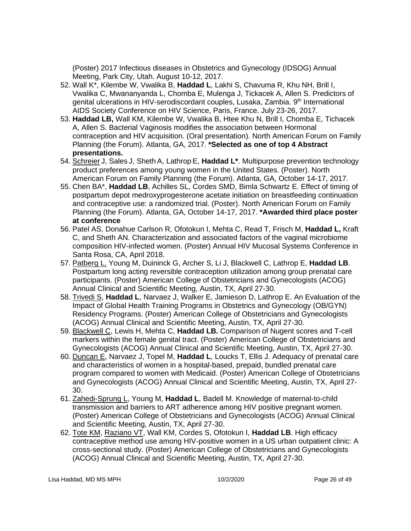(Poster) 2017 Infectious diseases in Obstetrics and Gynecology (IDSOG) Annual Meeting, Park City, Utah. August 10-12, 2017.

- 52. Wall K\*, Kilembe W, Vwalika B, **Haddad L**, Lakhi S, Chavuma R, Khu NH, Brill I, Vwalika C, Mwananyanda L, Chomba E, Mulenga J, Tickacek A, Allen S. Predictors of genital ulcerations in HIV-serodiscordant couples, Lusaka, Zambia. 9th International AIDS Society Conference on HIV Science, Paris, France. July 23-26, 2017.
- 53. **Haddad LB,** Wall KM, Kilembe W, Vwalika B, Htee Khu N, Brill I, Chomba E, Tichacek A, Allen S. Bacterial Vaginosis modifies the association between Hormonal contraception and HIV acquisition. (Oral presentation). North American Forum on Family Planning (the Forum). Atlanta, GA, 2017. **\*Selected as one of top 4 Abstract presentations.**
- 54. Schreier J, Sales J, Sheth A, Lathrop E, **Haddad L\***. Multipurpose prevention technology product preferences among young women in the United States. (Poster). North American Forum on Family Planning (the Forum). Atlanta, GA, October 14-17, 2017.
- 55. Chen BA\*, **Haddad LB**, Achilles SL, Cordes SMD, Bimla Schwartz E. Effect of timing of postpartum depot medroxyprogesterone acetate initiation on breastfeeding continuation and contraceptive use: a randomized trial. (Poster). North American Forum on Family Planning (the Forum). Atlanta, GA, October 14-17, 2017. **\*Awarded third place poster at conference**
- 56. Patel AS, Donahue Carlson R, Ofotokun I, Mehta C, Read T, Frisch M, **Haddad L,** Kraft C, and Sheth AN. Characterization and associated factors of the vaginal microbiome composition HIV-infected women. (Poster) Annual HIV Mucosal Systems Conference in Santa Rosa, CA, April 2018.
- 57. Patberg L, Young M, Duininck G, Archer S, Li J, Blackwell C, Lathrop E, **Haddad LB**. Postpartum long acting reversible contraception utilization among group prenatal care participants. (Poster) American College of Obstetricians and Gynecologists (ACOG) Annual Clinical and Scientific Meeting, Austin, TX, April 27-30.
- 58. Trivedi S, **Haddad L**, Narvaez J, Walker E, Jamieson D, Lathrop E. An Evaluation of the Impact of Global Health Training Programs in Obstetrics and Gynecology (OB/GYN) Residency Programs. (Poster) American College of Obstetricians and Gynecologists (ACOG) Annual Clinical and Scientific Meeting, Austin, TX, April 27-30.
- 59. Blackwell C, Lewis H, Mehta C, **Haddad LB.** Comparison of Nugent scores and T-cell markers within the female genital tract. (Poster) American College of Obstetricians and Gynecologists (ACOG) Annual Clinical and Scientific Meeting, Austin, TX, April 27-30.
- 60. Duncan E, Narvaez J, Topel M, **Haddad L**, Loucks T, Ellis J. Adequacy of prenatal care and characteristics of women in a hospital-based, prepaid, bundled prenatal care program compared to women with Medicaid. (Poster) American College of Obstetricians and Gynecologists (ACOG) Annual Clinical and Scientific Meeting, Austin, TX, April 27- 30.
- 61. Zahedi-Sprung L, Young M, **Haddad L**, Badell M. Knowledge of maternal-to-child transmission and barriers to ART adherence among HIV positive pregnant women. (Poster) American College of Obstetricians and Gynecologists (ACOG) Annual Clinical and Scientific Meeting, Austin, TX, April 27-30.
- 62. Tote KM, Raziano VT, Wall KM, Cordes S, Ofotokun I, **Haddad LB**. High efficacy contraceptive method use among HIV-positive women in a US urban outpatient clinic: A cross-sectional study. (Poster) American College of Obstetricians and Gynecologists (ACOG) Annual Clinical and Scientific Meeting, Austin, TX, April 27-30.

Lisa Haddad, MD MS MPH 10/2/2020 Page 26 of 49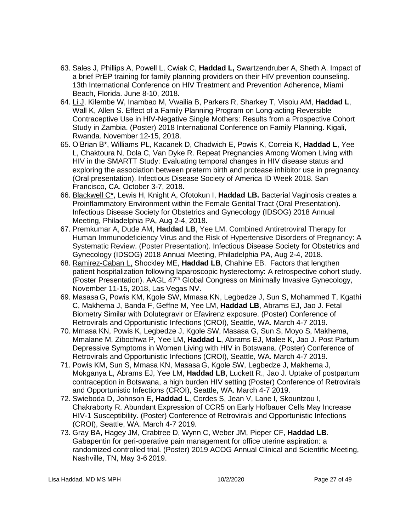- 63. Sales J, Phillips A, Powell L, Cwiak C, **Haddad L,** Swartzendruber A, Sheth A. Impact of a brief PrEP training for family planning providers on their HIV prevention counseling. 13th International Conference on HIV Treatment and Prevention Adherence, Miami Beach, Florida. June 8-10, 2018.
- 64. Li J, Kilembe W, Inambao M, Vwailia B, Parkers R, Sharkey T, Visoiu AM, **Haddad L**, Wall K, Allen S. Effect of a Family Planning Program on Long-acting Reversible Contraceptive Use in HIV-Negative Single Mothers: Results from a Prospective Cohort Study in Zambia. (Poster) 2018 International Conference on Family Planning. Kigali, Rwanda. November 12-15, 2018.
- 65. O'Brian B\*, Williams PL, Kacanek D, Chadwich E, Powis K, Correia K, **Haddad L**, Yee L, Chaktoura N, Dola C, Van Dyke R. Repeat Pregnancies Among Women Living with HIV in the SMARTT Study: Evaluating temporal changes in HIV disease status and exploring the association between preterm birth and protease inhibitor use in pregnancy. (Oral presentation). Infectious Disease Society of America ID Week 2018. San Francisco, CA. October 3-7, 2018.
- 66. Blackwell C\*, Lewis H, Knight A, Ofotokun I, **Haddad LB.** Bacterial Vaginosis creates a Proinflammatory Environment within the Female Genital Tract (Oral Presentation). Infectious Disease Society for Obstetrics and Gynecology (IDSOG) 2018 Annual Meeting, Philadelphia PA, Aug 2-4, 2018.
- 67. Premkumar A, Dude AM, **Haddad LB**, Yee LM. Combined Antiretroviral Therapy for Human Immunodeficiency Virus and the Risk of Hypertensive Disorders of Pregnancy: A Systematic Review. (Poster Presentation). Infectious Disease Society for Obstetrics and Gynecology (IDSOG) 2018 Annual Meeting, Philadelphia PA, Aug 2-4, 2018.
- 68. Ramirez-Caban L, Shockley ME, **Haddad LB**, Chahine EB. Factors that lengthen patient hospitalization following laparoscopic hysterectomy: A retrospective cohort study. (Poster Presentation). AAGL 47<sup>th</sup> Global Congress on Minimally Invasive Gynecology, November 11-15, 2018, Las Vegas NV.
- 69. Masasa G, Powis KM, Kgole SW, Mmasa KN, Legbedze J, Sun S, Mohammed T, Kgathi C, Makhema J, Banda F, Geffne M, Yee LM, **Haddad LB**, Abrams EJ, Jao J. Fetal Biometry Similar with Dolutegravir or Efavirenz exposure. (Poster) Conference of Retrovirals and Opportunistic Infections (CROI), Seattle, WA. March 4-7 2019.
- 70. Mmasa KN, Powis K, Legbedze J, Kgole SW, Masasa G, Sun S, Moyo S, Makhema, Mmalane M, Zibochwa P, Yee LM, **Haddad L**, Abrams EJ, Malee K, Jao J. Post Partum Depressive Symptoms in Women Living with HIV in Botswana. (Poster) Conference of Retrovirals and Opportunistic Infections (CROI), Seattle, WA. March 4-7 2019.
- 71. Powis KM, Sun S, Mmasa KN, Masasa G, Kgole SW, Legbedze J, Makhema J, Mokganya L, Abrams EJ, Yee LM, **Haddad LB**, Luckett R., Jao J. Uptake of postpartum contraception in Botswana, a high burden HIV setting (Poster) Conference of Retrovirals and Opportunistic Infections (CROI), Seattle, WA. March 4-7 2019.
- 72. Swieboda D, Johnson E, **Haddad L**, Cordes S, Jean V, Lane I, Skountzou I, Chakraborty R. Abundant Expression of CCR5 on Early Hofbauer Cells May Increase HIV-1 Susceptibility. (Poster) Conference of Retrovirals and Opportunistic Infections (CROI), Seattle, WA. March 4-7 2019.
- 73. Gray BA, Hagey JM, Crabtree D, Wynn C, Weber JM, Pieper CF, **Haddad LB**. Gabapentin for peri-operative pain management for office uterine aspiration: a randomized controlled trial. (Poster) 2019 ACOG Annual Clinical and Scientific Meeting, Nashville, TN, May 3-6 2019.

Lisa Haddad, MD MS MPH 10/2/2020 Page 27 of 49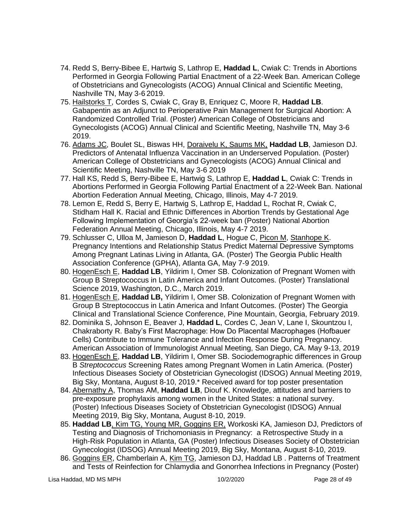- 74. Redd S, Berry-Bibee E, Hartwig S, Lathrop E, **Haddad L**, Cwiak C: Trends in Abortions Performed in Georgia Following Partial Enactment of a 22-Week Ban. American College of Obstetricians and Gynecologists (ACOG) Annual Clinical and Scientific Meeting, Nashville TN, May 3-6 2019.
- 75. Hailstorks T, Cordes S, Cwiak C, Gray B, Enriquez C, Moore R, **Haddad LB**. Gabapentin as an Adjunct to Perioperative Pain Management for Surgical Abortion: A Randomized Controlled Trial. (Poster) American College of Obstetricians and Gynecologists (ACOG) Annual Clinical and Scientific Meeting, Nashville TN, May 3-6 2019.
- 76. Adams JC, Boulet SL, Biswas HH, Doraivelu K, Saums MK, **Haddad LB**, Jamieson DJ. Predictors of Antenatal Influenza Vaccination in an Underserved Population. (Poster) American College of Obstetricians and Gynecologists (ACOG) Annual Clinical and Scientific Meeting, Nashville TN, May 3-6 2019
- 77. Hall KS, Redd S, Berry-Bibee E, Hartwig S, Lathrop E, **Haddad L**, Cwiak C: Trends in Abortions Performed in Georgia Following Partial Enactment of a 22-Week Ban. National Abortion Federation Annual Meeting, Chicago, Illinois, May 4-7 2019.
- 78. Lemon E, Redd S, Berry E, Hartwig S, Lathrop E, Haddad L, Rochat R, Cwiak C, Stidham Hall K. Racial and Ethnic Differences in Abortion Trends by Gestational Age Following Implementation of Georgia's 22-week ban (Poster) National Abortion Federation Annual Meeting, Chicago, Illinois, May 4-7 2019.
- 79. Schlusser C, Ulloa M, Jamieson D, **Haddad L**, Hogue C, Picon M, Stanhope K. Pregnancy Intentions and Relationship Status Predict Maternal Depressive Symptoms Among Pregnant Latinas Living in Atlanta, GA. (Poster) The Georgia Public Health Association Conference (GPHA), Atlanta GA, May 7-9 2019.
- 80. HogenEsch E, **Haddad LB**, Yildirim I, Omer SB. Colonization of Pregnant Women with Group B Streptococcus in Latin America and Infant Outcomes. (Poster) Translational Science 2019, Washington, D.C., March 2019.
- 81. HogenEsch E, **Haddad LB,** Yildirim I, Omer SB. Colonization of Pregnant Women with Group B Streptococcus in Latin America and Infant Outcomes. (Poster) The Georgia Clinical and Translational Science Conference, Pine Mountain, Georgia, February 2019.
- 82. Dominika S, Johnson E, Beaver J, **Haddad L**, Cordes C, Jean V, Lane I, Skountzou I, Chakraborty R. Baby's First Macrophage: How Do Placental Macrophages (Hofbauer Cells) Contribute to Immune Tolerance and Infection Response During Pregnancy. American Association of Immunologist Annual Meeting, San Diego, CA. May 9-13, 2019
- 83. HogenEsch E, **Haddad LB**, Yildirim I, Omer SB. Sociodemographic differences in Group B *Streptococcus* Screening Rates among Pregnant Women in Latin America. (Poster) Infectious Diseases Society of Obstetrician Gynecologist (IDSOG) Annual Meeting 2019, Big Sky, Montana, August 8-10, 2019.\* Received award for top poster presentation
- 84. Abernathy A, Thomas AM, **Haddad LB**, Diouf K. Knowledge, attitudes and barriers to pre-exposure prophylaxis among women in the United States: a national survey. (Poster) Infectious Diseases Society of Obstetrician Gynecologist (IDSOG) Annual Meeting 2019, Big Sky, Montana, August 8-10, 2019.
- 85. **Haddad LB**, Kim TG, Young MR, Goggins ER, Workoski KA, Jamieson DJ, Predictors of Testing and Diagnosis of Trichomoniasis in Pregnancy: a Retrospective Study in a High-Risk Population in Atlanta, GA (Poster) Infectious Diseases Society of Obstetrician Gynecologist (IDSOG) Annual Meeting 2019, Big Sky, Montana, August 8-10, 2019.
- 86. Goggins ER, Chamberlain A, Kim TG, Jamieson DJ, Haddad LB . Patterns of Treatment and Tests of Reinfection for Chlamydia and Gonorrhea Infections in Pregnancy (Poster)

Lisa Haddad, MD MS MPH 10/2/2020 Page 28 of 49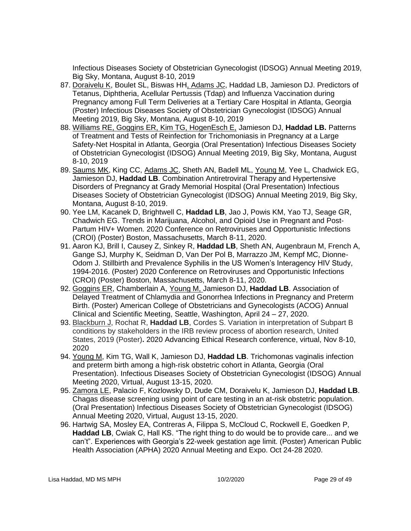Infectious Diseases Society of Obstetrician Gynecologist (IDSOG) Annual Meeting 2019, Big Sky, Montana, August 8-10, 2019

- 87. Doraivelu K, Boulet SL, Biswas HH, Adams JC, Haddad LB, Jamieson DJ. Predictors of Tetanus, Diphtheria, Acellular Pertussis (Tdap) and Influenza Vaccination during Pregnancy among Full Term Deliveries at a Tertiary Care Hospital in Atlanta, Georgia (Poster) Infectious Diseases Society of Obstetrician Gynecologist (IDSOG) Annual Meeting 2019, Big Sky, Montana, August 8-10, 2019
- 88. Williams RE, Goggins ER, Kim TG, HogenEsch E, Jamieson DJ, **Haddad LB.** Patterns of Treatment and Tests of Reinfection for Trichomoniasis in Pregnancy at a Large Safety-Net Hospital in Atlanta, Georgia (Oral Presentation) Infectious Diseases Society of Obstetrician Gynecologist (IDSOG) Annual Meeting 2019, Big Sky, Montana, August 8-10, 2019
- 89. Saums MK, King CC, Adams JC, Sheth AN, Badell ML, Young M, Yee L, Chadwick EG, Jamieson DJ, **Haddad LB**. Combination Antiretroviral Therapy and Hypertensive Disorders of Pregnancy at Grady Memorial Hospital (Oral Presentation) Infectious Diseases Society of Obstetrician Gynecologist (IDSOG) Annual Meeting 2019, Big Sky, Montana, August 8-10, 2019.
- 90. Yee LM, Kacanek D, Brightwell C, **Haddad LB**, Jao J, Powis KM, Yao TJ, Seage GR, Chadwich EG. Trends in Marijuana, Alcohol, and Opioid Use in Pregnant and Post-Partum HIV+ Women. 2020 Conference on Retroviruses and Opportunistic Infections (CROI) (Poster) Boston, Massachusetts, March 8-11, 2020.
- 91. Aaron KJ, Brill I, Causey Z, Sinkey R, **Haddad LB**, Sheth AN, Augenbraun M, French A, Gange SJ, Murphy K, Seidman D, Van Der Pol B, Marrazzo JM, Kempf MC, Dionne-Odom J. Stillbirth and Prevalence Syphilis in the US Women's Interagency HIV Study, 1994-2016. (Poster) 2020 Conference on Retroviruses and Opportunistic Infections (CROI) (Poster) Boston, Massachusetts, March 8-11, 2020.
- 92. Goggins ER, Chamberlain A, Young M, Jamieson DJ, **Haddad LB**. Association of Delayed Treatment of Chlamydia and Gonorrhea Infections in Pregnancy and Preterm Birth. (Poster) American College of Obstetricians and Gynecologists (ACOG) Annual Clinical and Scientific Meeting, Seattle, Washington, April 24 – 27, 2020.
- 93. Blackburn J, Rochat R, **Haddad LB**, Cordes S. Variation in interpretation of Subpart B conditions by stakeholders in the IRB review process of abortion research, United States, 2019 (Poster)**.** 2020 Advancing Ethical Research conference, virtual, Nov 8-10, 2020
- 94. Young M, Kim TG, Wall K, Jamieson DJ, **Haddad LB**. Trichomonas vaginalis infection and preterm birth among a high‐risk obstetric cohort in Atlanta, Georgia (Oral Presentation). Infectious Diseases Society of Obstetrician Gynecologist (IDSOG) Annual Meeting 2020, Virtual, August 13-15, 2020.
- 95. Zamora LE, Palacio F, Kozlowsky D, Dude CM, Doraivelu K, Jamieson DJ, **Haddad LB**. Chagas disease screening using point of care testing in an at-risk obstetric population. (Oral Presentation) Infectious Diseases Society of Obstetrician Gynecologist (IDSOG) Annual Meeting 2020, Virtual, August 13-15, 2020.
- 96. Hartwig SA, Mosley EA, Contreras A, Filippa S, McCloud C, Rockwell E, Goedken P, **Haddad LB**, Cwiak C, Hall KS. "The right thing to do would be to provide care... and we can't". Experiences with Georgia's 22-week gestation age limit. (Poster) American Public Health Association (APHA) 2020 Annual Meeting and Expo. Oct 24-28 2020.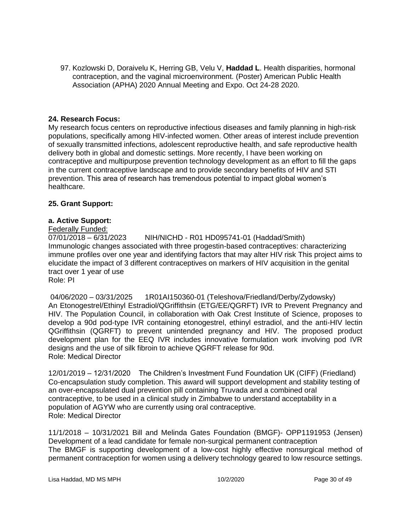97. Kozlowski D, Doraivelu K, Herring GB, Velu V, **Haddad L**. Health disparities, hormonal contraception, and the vaginal microenvironment. (Poster) American Public Health Association (APHA) 2020 Annual Meeting and Expo. Oct 24-28 2020.

# **24. Research Focus:**

My research focus centers on reproductive infectious diseases and family planning in high-risk populations, specifically among HIV-infected women. Other areas of interest include prevention of sexually transmitted infections, adolescent reproductive health, and safe reproductive health delivery both in global and domestic settings. More recently, I have been working on contraceptive and multipurpose prevention technology development as an effort to fill the gaps in the current contraceptive landscape and to provide secondary benefits of HIV and STI prevention. This area of research has tremendous potential to impact global women's healthcare.

### **25. Grant Support:**

# **a. Active Support:**

Federally Funded:

07/01/2018 – 6/31/2023 NIH/NICHD - R01 HD095741-01 (Haddad/Smith) Immunologic changes associated with three progestin-based contraceptives: characterizing immune profiles over one year and identifying factors that may alter HIV risk This project aims to elucidate the impact of 3 different contraceptives on markers of HIV acquisition in the genital tract over 1 year of use Role: PI

04/06/2020 – 03/31/2025 1R01AI150360-01 (Teleshova/Friedland/Derby/Zydowsky) An Etonogestrel/Ethinyl Estradiol/QGriffithsin (ETG/EE/QGRFT) IVR to Prevent Pregnancy and HIV. The Population Council, in collaboration with Oak Crest Institute of Science, proposes to develop a 90d pod-type IVR containing etonogestrel, ethinyl estradiol, and the anti-HIV lectin QGriffithsin (QGRFT) to prevent unintended pregnancy and HIV. The proposed product development plan for the EEQ IVR includes innovative formulation work involving pod IVR designs and the use of silk fibroin to achieve QGRFT release for 90d. Role: Medical Director

12/01/2019 – 12/31/2020 The Children's Investment Fund Foundation UK (CIFF) (Friedland) Co-encapsulation study completion. This award will support development and stability testing of an over-encapsulated dual prevention pill containing Truvada and a combined oral contraceptive, to be used in a clinical study in Zimbabwe to understand acceptability in a population of AGYW who are currently using oral contraceptive. Role: Medical Director

11/1/2018 – 10/31/2021 Bill and Melinda Gates Foundation (BMGF)- OPP1191953 (Jensen) Development of a lead candidate for female non-surgical permanent contraception The BMGF is supporting development of a low-cost highly effective nonsurgical method of permanent contraception for women using a delivery technology geared to low resource settings.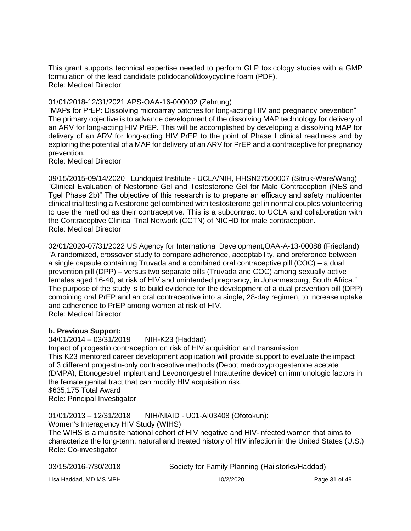This grant supports technical expertise needed to perform GLP toxicology studies with a GMP formulation of the lead candidate polidocanol/doxycycline foam (PDF). Role: Medical Director

### 01/01/2018-12/31/2021 APS-OAA-16-000002 (Zehrung)

"MAPs for PrEP: Dissolving microarray patches for long-acting HIV and pregnancy prevention" The primary objective is to advance development of the dissolving MAP technology for delivery of an ARV for long-acting HIV PrEP. This will be accomplished by developing a dissolving MAP for delivery of an ARV for long-acting HIV PrEP to the point of Phase I clinical readiness and by exploring the potential of a MAP for delivery of an ARV for PrEP and a contraceptive for pregnancy prevention.

Role: Medical Director

09/15/2015-09/14/2020 Lundquist Institute - UCLA/NIH, HHSN27500007 (Sitruk-Ware/Wang) "Clinical Evaluation of Nestorone Gel and Testosterone Gel for Male Contraception (NES and Tgel Phase 2b)" The objective of this research is to prepare an efficacy and safety multicenter clinical trial testing a Nestorone gel combined with testosterone gel in normal couples volunteering to use the method as their contraceptive. This is a subcontract to UCLA and collaboration with the Contraceptive Clinical Trial Network (CCTN) of NICHD for male contraception. Role: Medical Director

02/01/2020-07/31/2022 US Agency for International Development,OAA-A-13-00088 (Friedland) "A randomized, crossover study to compare adherence, acceptability, and preference between a single capsule containing Truvada and a combined oral contraceptive pill (COC) – a dual prevention pill (DPP) – versus two separate pills (Truvada and COC) among sexually active females aged 16-40, at risk of HIV and unintended pregnancy, in Johannesburg, South Africa." The purpose of the study is to build evidence for the development of a dual prevention pill (DPP) combining oral PrEP and an oral contraceptive into a single, 28-day regimen, to increase uptake and adherence to PrEP among women at risk of HIV. Role: Medical Director

#### **b. Previous Support:**

04/01/2014 – 03/31/2019 NIH-K23 (Haddad) Impact of progestin contraception on risk of HIV acquisition and transmission This K23 mentored career development application will provide support to evaluate the impact of 3 different progestin-only contraceptive methods (Depot medroxyprogesterone acetate (DMPA), Etonogestrel implant and Levonorgestrel Intrauterine device) on immunologic factors in the female genital tract that can modify HIV acquisition risk. \$635,175 Total Award Role: Principal Investigator

01/01/2013 – 12/31/2018 NIH/NIAID - U01-AI03408 (Ofotokun):

Women's Interagency HIV Study (WIHS)

The WIHS is a multisite national cohort of HIV negative and HIV-infected women that aims to characterize the long-term, natural and treated history of HIV infection in the United States (U.S.) Role: Co-investigator

| 03/15/2016-7/30/2018   | Society for Family Planning (Hailstorks/Haddad) |               |
|------------------------|-------------------------------------------------|---------------|
| Lisa Haddad, MD MS MPH | 10/2/2020                                       | Page 31 of 49 |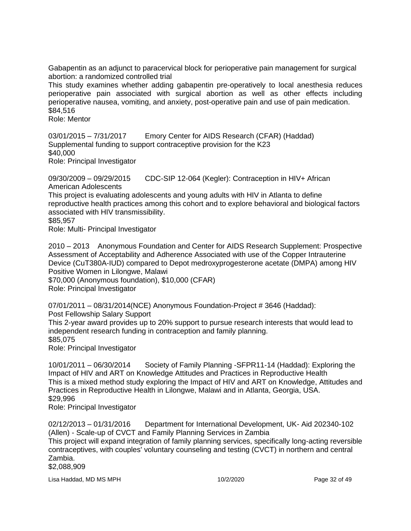Gabapentin as an adjunct to paracervical block for perioperative pain management for surgical abortion: a randomized controlled trial

This study examines whether adding gabapentin pre-operatively to local anesthesia reduces perioperative pain associated with surgical abortion as well as other effects including perioperative nausea, vomiting, and anxiety, post-operative pain and use of pain medication. \$84,516

Role: Mentor

03/01/2015 – 7/31/2017 Emory Center for AIDS Research (CFAR) (Haddad) Supplemental funding to support contraceptive provision for the K23 \$40,000 Role: Principal Investigator

09/30/2009 – 09/29/2015 CDC-SIP 12-064 (Kegler): Contraception in HIV+ African American Adolescents

This project is evaluating adolescents and young adults with HIV in Atlanta to define reproductive health practices among this cohort and to explore behavioral and biological factors associated with HIV transmissibility.

\$85,957

Role: Multi- Principal Investigator

2010 – 2013 Anonymous Foundation and Center for AIDS Research Supplement: Prospective Assessment of Acceptability and Adherence Associated with use of the Copper Intrauterine Device (CuT380A-IUD) compared to Depot medroxyprogesterone acetate (DMPA) among HIV Positive Women in Lilongwe, Malawi

\$70,000 (Anonymous foundation), \$10,000 (CFAR) Role: Principal Investigator

07/01/2011 – 08/31/2014(NCE) Anonymous Foundation-Project # 3646 (Haddad): Post Fellowship Salary Support

This 2-year award provides up to 20% support to pursue research interests that would lead to

independent research funding in contraception and family planning.

\$85,075

Role: Principal Investigator

10/01/2011 – 06/30/2014 Society of Family Planning -SFPR11-14 (Haddad): Exploring the Impact of HIV and ART on Knowledge Attitudes and Practices in Reproductive Health This is a mixed method study exploring the Impact of HIV and ART on Knowledge, Attitudes and Practices in Reproductive Health in Lilongwe, Malawi and in Atlanta, Georgia, USA. \$29,996

Role: Principal Investigator

02/12/2013 – 01/31/2016 Department for International Development, UK- Aid 202340-102 (Allen) - Scale-up of CVCT and Family Planning Services in Zambia This project will expand integration of family planning services, specifically long-acting reversible contraceptives, with couples' voluntary counseling and testing (CVCT) in northern and central Zambia. \$2,088,909

Lisa Haddad, MD MS MPH 10/2/2020 Page 32 of 49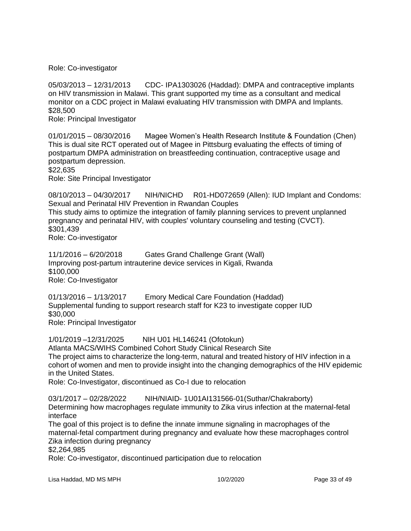Role: Co-investigator

05/03/2013 – 12/31/2013 CDC- IPA1303026 (Haddad): DMPA and contraceptive implants on HIV transmission in Malawi. This grant supported my time as a consultant and medical monitor on a CDC project in Malawi evaluating HIV transmission with DMPA and Implants. \$28,500

Role: Principal Investigator

01/01/2015 – 08/30/2016 Magee Women's Health Research Institute & Foundation (Chen) This is dual site RCT operated out of Magee in Pittsburg evaluating the effects of timing of postpartum DMPA administration on breastfeeding continuation, contraceptive usage and postpartum depression. \$22,635

Role: Site Principal Investigator

08/10/2013 – 04/30/2017 NIH/NICHD R01-HD072659 (Allen): IUD Implant and Condoms: Sexual and Perinatal HIV Prevention in Rwandan Couples This study aims to optimize the integration of family planning services to prevent unplanned pregnancy and perinatal HIV, with couples' voluntary counseling and testing (CVCT). \$301,439 Role: Co-investigator

11/1/2016 – 6/20/2018 Gates Grand Challenge Grant (Wall) Improving post-partum intrauterine device services in Kigali, Rwanda \$100,000 Role: Co-Investigator

01/13/2016 – 1/13/2017 Emory Medical Care Foundation (Haddad) Supplemental funding to support research staff for K23 to investigate copper IUD \$30,000 Role: Principal Investigator

1/01/2019 –12/31/2025 NIH U01 HL146241 (Ofotokun) Atlanta MACS/WIHS Combined Cohort Study Clinical Research Site The project aims to characterize the long-term, natural and treated history of HIV infection in a cohort of women and men to provide insight into the changing demographics of the HIV epidemic in the United States.

Role: Co-Investigator, discontinued as Co-I due to relocation

03/1/2017 – 02/28/2022 NIH/NIAID- 1U01AI131566-01(Suthar/Chakraborty) Determining how macrophages regulate immunity to Zika virus infection at the maternal-fetal

interface The goal of this project is to define the innate immune signaling in macrophages of the maternal-fetal compartment during pregnancy and evaluate how these macrophages control

Zika infection during pregnancy

\$2,264,985

Role: Co-investigator, discontinued participation due to relocation

Lisa Haddad, MD MS MPH 10/2/2020 Page 33 of 49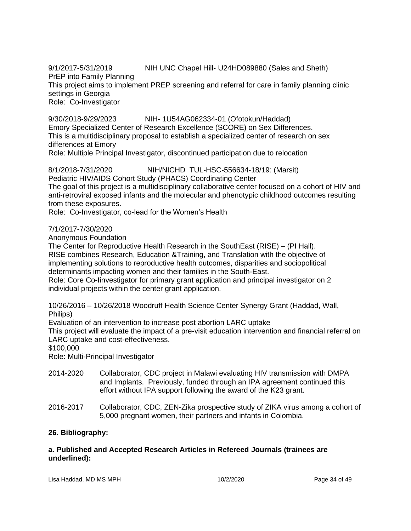9/1/2017-5/31/2019 NIH UNC Chapel Hill- U24HD089880 (Sales and Sheth)

PrEP into Family Planning

This project aims to implement PREP screening and referral for care in family planning clinic settings in Georgia

Role: Co-Investigator

9/30/2018-9/29/2023 NIH- 1U54AG062334-01 (Ofotokun/Haddad)

Emory Specialized Center of Research Excellence (SCORE) on Sex Differences. This is a multidisciplinary proposal to establish a specialized center of research on sex differences at Emory

Role: Multiple Principal Investigator, discontinued participation due to relocation

# 8/1/2018-7/31/2020 NIH/NICHD TUL-HSC-556634-18/19: (Marsit)

Pediatric HIV/AIDS Cohort Study (PHACS) Coordinating Center

The goal of this project is a multidisciplinary collaborative center focused on a cohort of HIV and anti-retroviral exposed infants and the molecular and phenotypic childhood outcomes resulting from these exposures.

Role: Co-Investigator, co-lead for the Women's Health

# 7/1/2017-7/30/2020

Anonymous Foundation

The Center for Reproductive Health Research in the SouthEast (RISE) – (PI Hall). RISE combines Research, Education &Training, and Translation with the objective of implementing solutions to reproductive health outcomes, disparities and sociopolitical determinants impacting women and their families in the South-East.

Role: Core Co-Iinvestigator for primary grant application and principal investigator on 2 individual projects within the center grant application.

10/26/2016 – 10/26/2018 Woodruff Health Science Center Synergy Grant (Haddad, Wall, Philips)

Evaluation of an intervention to increase post abortion LARC uptake

This project will evaluate the impact of a pre-visit education intervention and financial referral on LARC uptake and cost-effectiveness.

\$100,000

Role: Multi-Principal Investigator

- 2014-2020 Collaborator, CDC project in Malawi evaluating HIV transmission with DMPA and Implants. Previously, funded through an IPA agreement continued this effort without IPA support following the award of the K23 grant.
- 2016-2017 Collaborator, CDC, ZEN-Zika prospective study of ZIKA virus among a cohort of 5,000 pregnant women, their partners and infants in Colombia.

# **26. Bibliography:**

### **a. Published and Accepted Research Articles in Refereed Journals (trainees are underlined):**

Lisa Haddad, MD MS MPH 10/2/2020 Page 34 of 49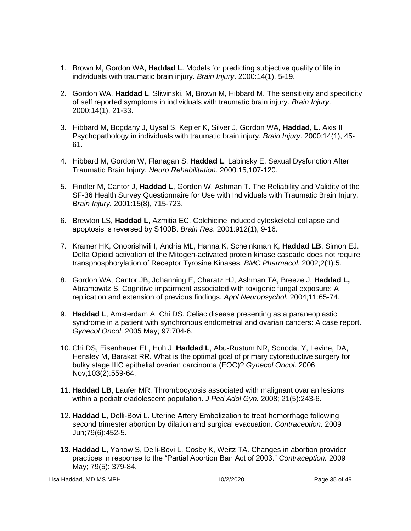- 1. Brown M, Gordon WA, **Haddad L**. Models for predicting subjective quality of life in individuals with traumatic brain injury. *Brain Injury*. 2000:14(1), 5-19.
- 2. Gordon WA, **Haddad L**, Sliwinski, M, Brown M, Hibbard M. The sensitivity and specificity of self reported symptoms in individuals with traumatic brain injury. *Brain Injury*. 2000:14(1), 21-33.
- 3. Hibbard M, Bogdany J, Uysal S, Kepler K, Silver J, Gordon WA, **Haddad, L**. Axis II Psychopathology in individuals with traumatic brain injury. *Brain Injury*. 2000:14(1), 45- 61.
- 4. Hibbard M, Gordon W, Flanagan S, **Haddad L**, Labinsky E. Sexual Dysfunction After Traumatic Brain Injury. *Neuro Rehabilitation.* 2000:15,107-120.
- 5. Findler M, Cantor J, **Haddad L**, Gordon W, Ashman T. The Reliability and Validity of the SF-36 Health Survey Questionnaire for Use with Individuals with Traumatic Brain Injury. *Brain Injury.* 2001:15(8), 715-723.
- 6. Brewton LS, **Haddad L**, Azmitia EC. Colchicine induced cytoskeletal collapse and apoptosis is reversed by S100Β. *Brain Res*. 2001:912(1), 9-16.
- 7. Kramer HK, Onoprishvili I, Andria ML, Hanna K, Scheinkman K, **Haddad LB**, Simon EJ. Delta Opioid activation of the Mitogen-activated protein kinase cascade does not require transphosphorylation of Receptor Tyrosine Kinases. *BMC Pharmacol*. 2002;2(1):5.
- 8. Gordon WA, Cantor JB, Johanning E, Charatz HJ, Ashman TA, Breeze J, **Haddad L,** Abramowitz S. Cognitive impairment associated with toxigenic fungal exposure: A replication and extension of previous findings. *Appl Neuropsychol.* 2004;11:65-74.
- 9. **Haddad L**, Amsterdam A, Chi DS. Celiac disease presenting as a paraneoplastic syndrome in a patient with synchronous endometrial and ovarian cancers: A case report. *Gynecol Oncol*. 2005 May; 97:704-6.
- 10. Chi DS, Eisenhauer EL, [Huh J,](http://www.ncbi.nlm.nih.gov/entrez/query.fcgi?db=pubmed&cmd=Search&itool=pubmed_AbstractPlus&term=%22Huh+J%22%5BAuthor%5D) **[Haddad L](http://www.ncbi.nlm.nih.gov/entrez/query.fcgi?db=pubmed&cmd=Search&itool=pubmed_AbstractPlus&term=%22Haddad+L%22%5BAuthor%5D)**, [Abu-Rustum NR,](http://www.ncbi.nlm.nih.gov/entrez/query.fcgi?db=pubmed&cmd=Search&itool=pubmed_AbstractPlus&term=%22Abu%2DRustum+NR%22%5BAuthor%5D) [Sonoda, Y,](http://www.ncbi.nlm.nih.gov/entrez/query.fcgi?db=pubmed&cmd=Search&itool=pubmed_AbstractPlus&term=%22Sonoda+Y%22%5BAuthor%5D) [Levine, DA,](http://www.ncbi.nlm.nih.gov/entrez/query.fcgi?db=pubmed&cmd=Search&itool=pubmed_AbstractPlus&term=%22Levine+DA%22%5BAuthor%5D) [Hensley M,](http://www.ncbi.nlm.nih.gov/entrez/query.fcgi?db=pubmed&cmd=Search&itool=pubmed_AbstractPlus&term=%22Hensley+M%22%5BAuthor%5D) [Barakat RR.](http://www.ncbi.nlm.nih.gov/entrez/query.fcgi?db=pubmed&cmd=Search&itool=pubmed_AbstractPlus&term=%22Barakat+RR%22%5BAuthor%5D) What is the optimal goal of primary cytoreductive surgery for bulky stage IIIC epithelial ovarian carcinoma (EOC)? *[Gynecol Oncol](javascript:AL_get(this,%20)*. 2006 Nov;103(2):559-64.
- 11. **Haddad LB**, Laufer MR. Thrombocytosis associated with malignant ovarian lesions within a pediatric/adolescent population. *J Ped Adol Gyn.* 2008; 21(5):243-6.
- 12. **Haddad L,** Delli-Bovi L. Uterine Artery Embolization to treat hemorrhage following second trimester abortion by dilation and surgical evacuation. *Contraception.* 2009 Jun;79(6):452-5.
- **13. Haddad L,** Yanow S, Delli-Bovi L, Cosby K, Weitz TA. Changes in abortion provider practices in response to the "Partial Abortion Ban Act of 2003." *Contraception.* 2009 May; 79(5): 379-84.

Lisa Haddad, MD MS MPH 10/2/2020 Page 35 of 49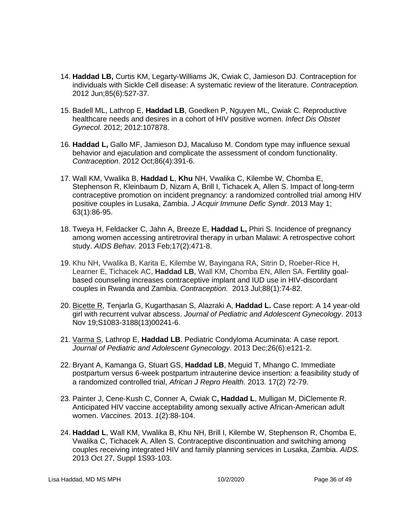- 14. **Haddad LB,** Curtis KM, Legarty-Williams JK, Cwiak C, Jamieson DJ. Contraception for individuals with Sickle Cell disease: A systematic review of the literature. *Contraception.* 2012 Jun;85(6):527-37.
- 15. Badell ML, Lathrop E, **Haddad LB**, Goedken P, Nguyen ML, Cwiak C. Reproductive healthcare needs and desires in a cohort of HIV positive women. *Infect Dis Obstet Gynecol.* 2012; 2012:107878.
- 16. **Haddad L,** Gallo MF, Jamieson DJ, Macaluso M. Condom type may influence sexual behavior and ejaculation and complicate the assessment of condom functionality. *Contraception.* 2012 Oct;86(4):391-6.
- 17. Wall KM, Vwalika B, **Haddad L**, **Khu** NH, Vwalika C, Kilembe W, Chomba E, Stephenson R, Kleinbaum D, Nizam A, Brill I, Tichacek A, Allen S. [Impact of long-term](http://www.ncbi.nlm.nih.gov/pubmed/23202814)  [contraceptive promotion on incident pregnancy: a randomized controlled trial among HIV](http://www.ncbi.nlm.nih.gov/pubmed/23202814)  [positive couples in Lusaka, Zambia.](http://www.ncbi.nlm.nih.gov/pubmed/23202814) *J Acquir Immune Defic Syndr*. 2013 May 1; 63(1):86-95.
- 18. Tweya H, Feldacker C, Jahn A, Breeze E, **Haddad L,** Phiri S. Incidence of pregnancy among women accessing antiretroviral therapy in urban Malawi: A retrospective cohort study. *AIDS Behav.* 2013 Feb;17(2):471-8.
- 19. [Khu NH,](http://www.ncbi.nlm.nih.gov/pubmed?term=Khu%20NH%5BAuthor%5D&cauthor=true&cauthor_uid=23153896) [Vwalika B,](http://www.ncbi.nlm.nih.gov/pubmed?term=Vwalika%20B%5BAuthor%5D&cauthor=true&cauthor_uid=23153896) [Karita E,](http://www.ncbi.nlm.nih.gov/pubmed?term=Karita%20E%5BAuthor%5D&cauthor=true&cauthor_uid=23153896) [Kilembe W,](http://www.ncbi.nlm.nih.gov/pubmed?term=Kilembe%20W%5BAuthor%5D&cauthor=true&cauthor_uid=23153896) [Bayingana RA,](http://www.ncbi.nlm.nih.gov/pubmed?term=Bayingana%20RA%5BAuthor%5D&cauthor=true&cauthor_uid=23153896) [Sitrin D,](http://www.ncbi.nlm.nih.gov/pubmed?term=Sitrin%20D%5BAuthor%5D&cauthor=true&cauthor_uid=23153896) [Roeber-Rice H,](http://www.ncbi.nlm.nih.gov/pubmed?term=Roeber-Rice%20H%5BAuthor%5D&cauthor=true&cauthor_uid=23153896) [Learner E,](http://www.ncbi.nlm.nih.gov/pubmed?term=Learner%20E%5BAuthor%5D&cauthor=true&cauthor_uid=23153896) [Tichacek AC,](http://www.ncbi.nlm.nih.gov/pubmed?term=Tichacek%20AC%5BAuthor%5D&cauthor=true&cauthor_uid=23153896) **[Haddad LB](http://www.ncbi.nlm.nih.gov/pubmed?term=Haddad%20LB%5BAuthor%5D&cauthor=true&cauthor_uid=23153896)**, [Wall KM,](http://www.ncbi.nlm.nih.gov/pubmed?term=Wall%20KM%5BAuthor%5D&cauthor=true&cauthor_uid=23153896) [Chomba EN,](http://www.ncbi.nlm.nih.gov/pubmed?term=Chomba%20EN%5BAuthor%5D&cauthor=true&cauthor_uid=23153896) [Allen SA.](http://www.ncbi.nlm.nih.gov/pubmed?term=Allen%20SA%5BAuthor%5D&cauthor=true&cauthor_uid=23153896) Fertility goalbased counseling increases contraceptive implant and IUD use in HIV-discordant couples in Rwanda and Zambia. *Contraception.* 2013 Jul;88(1):74-82.
- 20. Bicette R, Tenjarla G, Kugarthasan S, Alazraki A, **Haddad L.** Case report: A 14 year-old girl with recurrent vulvar abscess. *Journal of Pediatric and Adolescent Gynecology*. 2013 Nov 19;S1083-3188(13)00241-6.
- 21. Varma S, Lathrop E, **Haddad LB**. Pediatric Condyloma Acuminata: A case report. *Journal of Pediatric and Adolescent Gynecology*. 2013 Dec;26(6):e121-2.
- 22. Bryant A, Kamanga G, Stuart GS, **Haddad LB**, Meguid T, Mhango C. Immediate postpartum versus 6-week postpartum intrauterine device insertion: a feasibility study of a randomized controlled trial, *African J Repro Health.* 2013. 17(2) 72-79.
- 23. Painter J, Cene-Kush C, Conner A, Cwiak C**, Haddad L**, Mulligan M, DiClemente R. Anticipated HIV vaccine acceptability among sexually active African-American adult women. *Vaccines.* 2013. *1*(2):88-104.
- 24. **Haddad L**, Wall KM, Vwalika B, Khu NH, Brill I, Kilembe W, Stephenson R, Chomba E, Vwalika C, Tichacek A, Allen S. Contraceptive discontinuation and switching among couples receiving integrated HIV and family planning services in Lusaka, Zambia. *AIDS.* 2013 Oct 27, Suppl 1S93-103.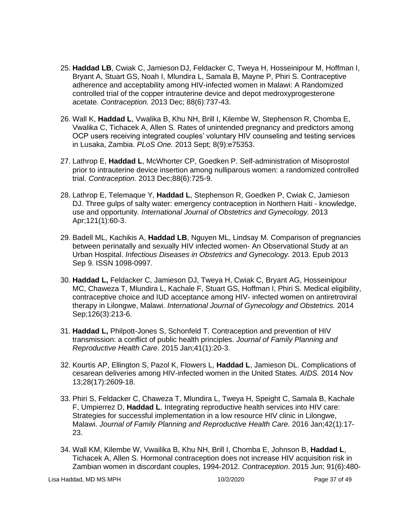- 25. **Haddad LB**, Cwiak C, Jamieson DJ, Feldacker C, Tweya H, Hosseinipour M, Hoffman I, Bryant A, Stuart GS, Noah I, Mlundira L, Samala B, Mayne P, Phiri S. Contraceptive adherence and acceptability among HIV-infected women in Malawi: A Randomized controlled trial of the copper intrauterine device and depot medroxyprogesterone acetate. *Contraception.* 2013 Dec; 88(6):737-43.
- 26. Wall K, **Haddad L**, Vwalika B, Khu NH, Brill I, Kilembe W*,* Stephenson R, Chomba E, Vwalika C, Tichacek A, Allen S*.* Rates of unintended pregnancy and predictors among OCP users receiving integrated couples' voluntary HIV counseling and testing services in Lusaka, Zambia. *PLoS One.* 2013 Sept; 8(9):e75353.
- 27. Lathrop E, **Haddad L**, McWhorter CP, Goedken P. Self-administration of Misoprostol prior to intrauterine device insertion among nulliparous women: a randomized controlled trial. *Contraception.* 2013 Dec;88(6):725-9.
- 28. Lathrop E, Telemaque Y, **Haddad L**, Stephenson R, Goedken P, Cwiak C, Jamieson DJ. Three gulps of salty water: emergency contraception in Northern Haiti - knowledge, use and opportunity*. International Journal of Obstetrics and Gynecology.* 2013 Apr;121(1):60-3.
- 29. Badell ML, Kachikis A, **Haddad LB**, Nguyen ML, Lindsay M. Comparison of pregnancies between perinatally and sexually HIV infected women- An Observational Study at an Urban Hospital. *Infectious Diseases in Obstetrics and Gynecology.* 2013. Epub 2013 Sep 9. ISSN 1098-0997.
- 30. **Haddad L,** Feldacker C, Jamieson DJ, Tweya H, Cwiak C, Bryant AG, Hosseinipour MC, Chaweza T, Mlundira L, Kachale F, Stuart GS, Hoffman I, Phiri S. Medical eligibility, contraceptive choice and IUD acceptance among HIV- infected women on antiretroviral therapy in Lilongwe, Malawi. *International Journal of Gynecology and Obstetrics.* 2014 Sep;126(3):213-6.
- 31. **Haddad L,** Philpott-Jones S, Schonfeld T. Contraception and prevention of HIV transmission: a conflict of public health principles. *Journal of Family Planning and Reproductive Health Care*. 2015 Jan;41(1):20-3.
- 32. Kourtis AP, Ellington S, Pazol K, Flowers L, **Haddad L**, Jamieson DL. Complications of cesarean deliveries among HIV-infected women in the United States. *[AIDS.](http://www.ncbi.nlm.nih.gov/pubmed/25574961)* 2014 Nov 13;28(17):2609-18.
- 33. Phiri S, Feldacker C, Chaweza T, Mlundira L, Tweya H, Speight C, Samala B, Kachale F, Umpierrez D, **Haddad L**. Integrating reproductive health services into HIV care: Strategies for successful implementation in a low resource HIV clinic in Lilongwe, Malawi. *Journal of Family Planning and Reproductive Health Care.* 2016 Jan;42(1):17- 23.
- 34. Wall KM, Kilembe W, Vwailika B, Khu NH, Brill I, Chomba E, Johnson B, **Haddad L**, Tichacek A, Allen S. Hormonal contraception does not increase HIV acquisition risk in Zambian women in discordant couples, 1994-2012. *Contraception*. 2015 Jun; 91(6):480-

Lisa Haddad, MD MS MPH 10/2/2020 Page 37 of 49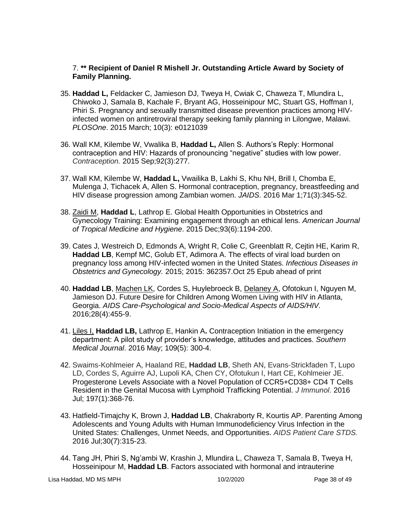# 7. **\*\* Recipient of Daniel R Mishell Jr. Outstanding Article Award by Society of Family Planning.**

- 35. **Haddad L,** Feldacker C, Jamieson DJ, Tweya H, Cwiak C, Chaweza T, Mlundira L, Chiwoko J, Samala B, Kachale F, Bryant AG, Hosseinipour MC, Stuart GS, Hoffman I, Phiri S. Pregnancy and sexually transmitted disease prevention practices among HIVinfected women on antiretroviral therapy seeking family planning in Lilongwe, Malawi. *PLOSOne*. 2015 March; 10(3): e0121039
- 36. Wall KM, Kilembe W, Vwalika B, **Haddad L,** Allen S. Authors's Reply: Hormonal contraception and HIV: Hazards of pronouncing "negative" studies with low power. *Contraception.* 2015 Sep;92(3):277.
- 37. Wall KM, Kilembe W, **Haddad L,** Vwailika B, Lakhi S, Khu NH, Brill I, Chomba E, Mulenga J, Tichacek A, Allen S. Hormonal contraception, pregnancy, breastfeeding and HIV disease progression among Zambian women. *JAIDS*. 2016 Mar 1;71(3):345-52.
- 38. Zaidi M, **Haddad L**, Lathrop E. Global Health Opportunities in Obstetrics and Gynecology Training: Examining engagement through an ethical lens. *American Journal of Tropical Medicine and Hygiene*. 2015 Dec;93(6):1194-200.
- 39. Cates J, Westreich D, Edmonds A, Wright R, Colie C, Greenblatt R, Cejtin HE, Karim R, **Haddad LB**, Kempf MC, Golub ET, Adimora A. The effects of viral load burden on pregnancy loss among HIV-infected women in the United States. *Infectious Diseases in Obstetrics and Gynecology.* 2015; 2015: 362357.Oct 25 Epub ahead of print
- 40. **Haddad LB**, Machen LK, Cordes S, Huylebroeck B, Delaney A, Ofotokun I, Nguyen M, Jamieson DJ. Future Desire for Children Among Women Living with HIV in Atlanta, Georgia. *AIDS Care-Psychological and Socio-Medical Aspects of AIDS/HIV.*  2016;28(4):455-9.
- 41. Liles I, **Haddad LB,** Lathrop E, Hankin A**.** Contraception Initiation in the emergency department: A pilot study of provider's knowledge, attitudes and practices. *Southern Medical Journal*. 2016 May; 109(5): 300-4.
- 42. [Swaims-Kohlmeier A,](http://www.ncbi.nlm.nih.gov/pubmed/?term=Swaims-Kohlmeier%20A%5BAuthor%5D&cauthor=true&cauthor_uid=27233960) [Haaland RE,](http://www.ncbi.nlm.nih.gov/pubmed/?term=Haaland%20RE%5BAuthor%5D&cauthor=true&cauthor_uid=27233960) **[Haddad LB](http://www.ncbi.nlm.nih.gov/pubmed/?term=Haddad%20LB%5BAuthor%5D&cauthor=true&cauthor_uid=27233960)**, [Sheth AN,](http://www.ncbi.nlm.nih.gov/pubmed/?term=Sheth%20AN%5BAuthor%5D&cauthor=true&cauthor_uid=27233960) [Evans-Strickfaden T,](http://www.ncbi.nlm.nih.gov/pubmed/?term=Evans-Strickfaden%20T%5BAuthor%5D&cauthor=true&cauthor_uid=27233960) [Lupo](http://www.ncbi.nlm.nih.gov/pubmed/?term=Lupo%20LD%5BAuthor%5D&cauthor=true&cauthor_uid=27233960)  [LD,](http://www.ncbi.nlm.nih.gov/pubmed/?term=Lupo%20LD%5BAuthor%5D&cauthor=true&cauthor_uid=27233960) [Cordes S,](http://www.ncbi.nlm.nih.gov/pubmed/?term=Cordes%20S%5BAuthor%5D&cauthor=true&cauthor_uid=27233960) [Aguirre AJ,](http://www.ncbi.nlm.nih.gov/pubmed/?term=Aguirre%20AJ%5BAuthor%5D&cauthor=true&cauthor_uid=27233960) [Lupoli KA,](http://www.ncbi.nlm.nih.gov/pubmed/?term=Lupoli%20KA%5BAuthor%5D&cauthor=true&cauthor_uid=27233960) [Chen CY,](http://www.ncbi.nlm.nih.gov/pubmed/?term=Chen%20CY%5BAuthor%5D&cauthor=true&cauthor_uid=27233960) [Ofotukun I,](http://www.ncbi.nlm.nih.gov/pubmed/?term=Ofotukun%20I%5BAuthor%5D&cauthor=true&cauthor_uid=27233960) [Hart CE,](http://www.ncbi.nlm.nih.gov/pubmed/?term=Hart%20CE%5BAuthor%5D&cauthor=true&cauthor_uid=27233960) [Kohlmeier JE.](http://www.ncbi.nlm.nih.gov/pubmed/?term=Kohlmeier%20JE%5BAuthor%5D&cauthor=true&cauthor_uid=27233960) Progesterone Levels Associate with a Novel Population of CCR5+CD38+ CD4 T Cells Resident in the Genital Mucosa with Lymphoid Trafficking Potential. *J Immunol*. 2016 Jul; 197(1):368-76.
- 43. Hatfield-Timajchy K, Brown J, **Haddad LB**, Chakraborty R, Kourtis AP. Parenting Among Adolescents and Young Adults with Human Immunodeficiency Virus Infection in the United States: Challenges, Unmet Needs, and Opportunities. *AIDS Patient Care STDS.* 2016 Jul;30(7):315-23.
- 44. Tang JH, Phiri S, Ng'ambi W, Krashin J, Mlundira L, Chaweza T, Samala B, Tweya H, Hosseinipour M, **Haddad LB**. Factors associated with hormonal and intrauterine

Lisa Haddad, MD MS MPH 10/2/2020 Page 38 of 49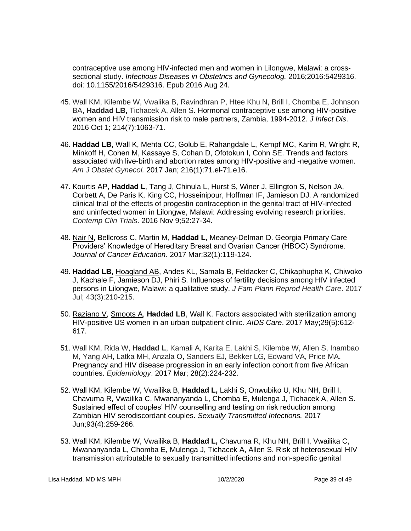contraceptive use among HIV-infected men and women in Lilongwe, Malawi: a crosssectional study. *Infectious Diseases in Obstetrics and Gynecolog.* 2016;2016:5429316. doi: 10.1155/2016/5429316. Epub 2016 Aug 24.

- 45. [Wall KM,](http://www.ncbi.nlm.nih.gov/pubmed/?term=Wall%20KM%5BAuthor%5D&cauthor=true&cauthor_uid=27462093) [Kilembe W,](http://www.ncbi.nlm.nih.gov/pubmed/?term=Kilembe%20W%5BAuthor%5D&cauthor=true&cauthor_uid=27462093) [Vwalika B,](http://www.ncbi.nlm.nih.gov/pubmed/?term=Vwalika%20B%5BAuthor%5D&cauthor=true&cauthor_uid=27462093) [Ravindhran P,](http://www.ncbi.nlm.nih.gov/pubmed/?term=Ravindhran%20P%5BAuthor%5D&cauthor=true&cauthor_uid=27462093) [Htee Khu](http://www.ncbi.nlm.nih.gov/pubmed/?term=Htee%20Khu%20N%5BAuthor%5D&cauthor=true&cauthor_uid=27462093) N, [Brill I,](http://www.ncbi.nlm.nih.gov/pubmed/?term=Brill%20I%5BAuthor%5D&cauthor=true&cauthor_uid=27462093) [Chomba E,](http://www.ncbi.nlm.nih.gov/pubmed/?term=Chomba%20E%5BAuthor%5D&cauthor=true&cauthor_uid=27462093) [Johnson](http://www.ncbi.nlm.nih.gov/pubmed/?term=Johnson%20BA%5BAuthor%5D&cauthor=true&cauthor_uid=27462093)  [BA,](http://www.ncbi.nlm.nih.gov/pubmed/?term=Johnson%20BA%5BAuthor%5D&cauthor=true&cauthor_uid=27462093) **[Haddad LB,](http://www.ncbi.nlm.nih.gov/pubmed/?term=Haddad%20LB%5BAuthor%5D&cauthor=true&cauthor_uid=27462093)** [Tichacek A,](http://www.ncbi.nlm.nih.gov/pubmed/?term=Tichacek%20A%5BAuthor%5D&cauthor=true&cauthor_uid=27462093) [Allen S.](http://www.ncbi.nlm.nih.gov/pubmed/?term=Allen%20S%5BAuthor%5D&cauthor=true&cauthor_uid=27462093) Hormonal contraceptive use among HIV-positive women and HIV transmission risk to male partners, Zambia, 1994-2012. *J Infect Dis*. 2016 Oct 1; 214(7):1063-71.
- 46. **Haddad LB**, Wall K, Mehta CC, Golub E, Rahangdale L, Kempf MC, Karim R, Wright R, Minkoff H, Cohen M, Kassaye S, Cohan D, Ofotokun I, Cohn SE. Trends and factors associated with live-birth and abortion rates among HIV-positive and -negative women. *Am J Obstet Gynecol.* 2017 Jan; 216(1):71.el-71.e16.
- 47. Kourtis AP, **Haddad L**, Tang J, Chinula L, Hurst S, Winer J, Ellington S, Nelson JA, Corbett A, De Paris K, King CC, Hosseinipour, Hoffman IF, Jamieson DJ. A randomized clinical trial of the effects of progestin contraception in the genital tract of HIV-infected and uninfected women in Lilongwe, Malawi: Addressing evolving research priorities. *Contemp Clin Trials*. 2016 Nov 9;52:27-34.
- 48. Nair N, Bellcross C, Martin M, **Haddad L**, Meaney-Delman D. Georgia Primary Care Providers' Knowledge of Hereditary Breast and Ovarian Cancer (HBOC) Syndrome. *Journal of Cancer Education*. 2017 Mar;32(1):119-124.
- 49. **Haddad LB**, Hoagland AB, Andes KL, Samala B, Feldacker C, Chikaphupha K, Chiwoko J, Kachale F, Jamieson DJ, Phiri S. Influences of fertility decisions among HIV infected persons in Lilongwe, Malawi: a qualitative study. *J Fam Plann Reprod Health Care*. 2017 Jul; 43(3):210-215.
- 50. Raziano V, Smoots A, **Haddad LB**, Wall K. Factors associated with sterilization among HIV-positive US women in an urban outpatient clinic. *AIDS Care*. 2017 May;29(5):612- 617.
- 51. [Wall](https://www.ncbi.nlm.nih.gov/pubmed/?term=Wall%20KM%5BAuthor%5D&cauthor=true&cauthor_uid=27893488) KM, [Rida W,](https://www.ncbi.nlm.nih.gov/pubmed/?term=Rida%20W%5BAuthor%5D&cauthor=true&cauthor_uid=27893488) **[Haddad](https://www.ncbi.nlm.nih.gov/pubmed/?term=Haddad%20L%5BAuthor%5D&cauthor=true&cauthor_uid=27893488) L**, [Kamali A,](https://www.ncbi.nlm.nih.gov/pubmed/?term=Kamali%20A%5BAuthor%5D&cauthor=true&cauthor_uid=27893488) [Karita E,](https://www.ncbi.nlm.nih.gov/pubmed/?term=Karita%20E%5BAuthor%5D&cauthor=true&cauthor_uid=27893488) [Lakhi S,](https://www.ncbi.nlm.nih.gov/pubmed/?term=Lakhi%20S%5BAuthor%5D&cauthor=true&cauthor_uid=27893488) [Kilembe W,](https://www.ncbi.nlm.nih.gov/pubmed/?term=Kilembe%20W%5BAuthor%5D&cauthor=true&cauthor_uid=27893488) [Allen S,](https://www.ncbi.nlm.nih.gov/pubmed/?term=Allen%20S%5BAuthor%5D&cauthor=true&cauthor_uid=27893488) [Inambao](https://www.ncbi.nlm.nih.gov/pubmed/?term=Inambao%20M%5BAuthor%5D&cauthor=true&cauthor_uid=27893488)  [M,](https://www.ncbi.nlm.nih.gov/pubmed/?term=Inambao%20M%5BAuthor%5D&cauthor=true&cauthor_uid=27893488) [Yang AH,](https://www.ncbi.nlm.nih.gov/pubmed/?term=Yang%20AH%5BAuthor%5D&cauthor=true&cauthor_uid=27893488) [Latka MH,](https://www.ncbi.nlm.nih.gov/pubmed/?term=Latka%20MH%5BAuthor%5D&cauthor=true&cauthor_uid=27893488) [Anzala O,](https://www.ncbi.nlm.nih.gov/pubmed/?term=Anzala%20O%5BAuthor%5D&cauthor=true&cauthor_uid=27893488) [Sanders EJ,](https://www.ncbi.nlm.nih.gov/pubmed/?term=Sanders%20EJ%5BAuthor%5D&cauthor=true&cauthor_uid=27893488) [Bekker LG,](https://www.ncbi.nlm.nih.gov/pubmed/?term=Bekker%20LG%5BAuthor%5D&cauthor=true&cauthor_uid=27893488) [Edward VA,](https://www.ncbi.nlm.nih.gov/pubmed/?term=Edward%20VA%5BAuthor%5D&cauthor=true&cauthor_uid=27893488) [Price MA.](https://www.ncbi.nlm.nih.gov/pubmed/?term=Price%20MA%5BAuthor%5D&cauthor=true&cauthor_uid=27893488) Pregnancy and HIV disease progression in an early infection cohort from five African countries. *Epidemiology*. 2017 Mar; 28(2):224-232.
- 52. Wall KM, Kilembe W, Vwailika B, **Haddad L,** Lakhi S, Onwubiko U, Khu NH, Brill I, Chavuma R, Vwailika C, Mwananyanda L, Chomba E, Mulenga J, Tichacek A, Allen S. Sustained effect of couples' HIV counselling and testing on risk reduction among Zambian HIV serodiscordant couples. *Sexually Transmitted Infections.* 2017 Jun;93(4):259-266.
- 53. Wall KM, Kilembe W, Vwailika B, **Haddad L,** Chavuma R, Khu NH, Brill I, Vwailika C, Mwananyanda L, Chomba E, Mulenga J, Tichacek A, Allen S. Risk of heterosexual HIV transmission attributable to sexually transmitted infections and non-specific genital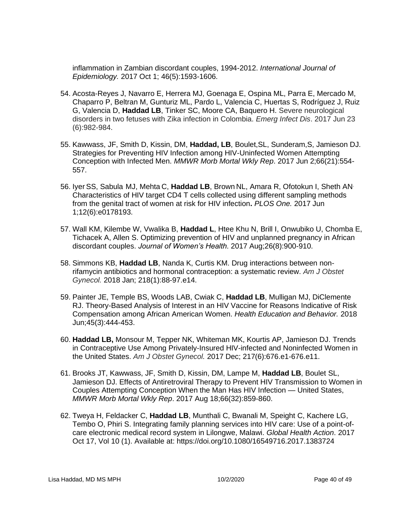inflammation in Zambian discordant couples, 1994-2012. *International Journal of Epidemiology.* 2017 Oct 1; 46(5):1593-1606.

- 54. Acosta-Reyes J, Navarro E, Herrera MJ, Goenaga E, Ospina ML, Parra E, Mercado M, Chaparro P, Beltran M, Gunturiz ML, Pardo L, Valencia C, Huertas S, Rodríguez J, Ruiz G, Valencia D, **Haddad LB**, Tinker SC, Moore CA, Baquero H. Severe neurological disorders in two fetuses with Zika infection in Colombia. *Emerg Infect Dis*. 2017 Jun 23 (6):982-984.
- 55. Kawwass, JF, Smith D, Kissin, DM, **Haddad, LB**, Boulet,SL, Sunderam,S, Jamieson DJ. Strategies for Preventing HIV Infection among HIV-Uninfected Women Attempting Conception with Infected Men. *MMWR Morb Mortal Wkly Rep*. 2017 Jun 2;66(21):554- 557.
- 56. Iyer SS, Sabula MJ, Mehta C, **Haddad LB**, Brown NL, Amara R, Ofotokun I, Sheth AN. Characteristics of HIV target CD4 T cells collected using different sampling methods from the genital tract of women at risk for HIV infection**.** *PLOS One.* 2017 Jun 1;12(6):e0178193.
- 57. Wall KM, Kilembe W, Vwalika B, **Haddad L**, Htee Khu N, Brill I, Onwubiko U, Chomba E, Tichacek A, Allen S. Optimizing prevention of HIV and unplanned pregnancy in African discordant couples. *Journal of Women's Health.* 2017 Aug;26(8):900-910.
- 58. Simmons KB, **Haddad LB**, Nanda K, Curtis KM. Drug interactions between nonrifamycin antibiotics and hormonal contraception: a systematic review. *Am J Obstet Gynecol.* 2018 Jan; 218(1):88-97.e14.
- 59. Painter JE, Temple BS, Woods LAB, Cwiak C, **Haddad LB**, Mulligan MJ, DiClemente RJ. Theory-Based Analysis of Interest in an HIV Vaccine for Reasons Indicative of Risk Compensation among African American Women. *Health Education and Behavior.* 2018 Jun;45(3):444-453.
- 60. **Haddad LB,** Monsour M, Tepper NK, Whiteman MK, Kourtis AP, Jamieson DJ. Trends in Contraceptive Use Among Privately-Insured HIV-infected and Noninfected Women in the United States. *Am J Obstet Gynecol.* 2017 Dec; 217(6):676.e1-676.e11.
- 61. Brooks JT, Kawwass, JF, Smith D, Kissin, DM, Lampe M, **Haddad LB**, Boulet SL, Jamieson DJ. Effects of Antiretroviral Therapy to Prevent HIV Transmission to Women in Couples Attempting Conception When the Man Has HIV Infection — United States, *MMWR Morb Mortal Wkly Rep*. 2017 Aug 18;66(32):859-860.
- 62. Tweya H, Feldacker C, **Haddad LB**, Munthali C, Bwanali M, Speight C, Kachere LG, Tembo O, Phiri S. Integrating family planning services into HIV care: Use of a point-ofcare electronic medical record system in Lilongwe, Malawi. *Global Health Action*. 2017 Oct 17, Vol 10 (1). Available at: https://doi.org/10.1080/16549716.2017.1383724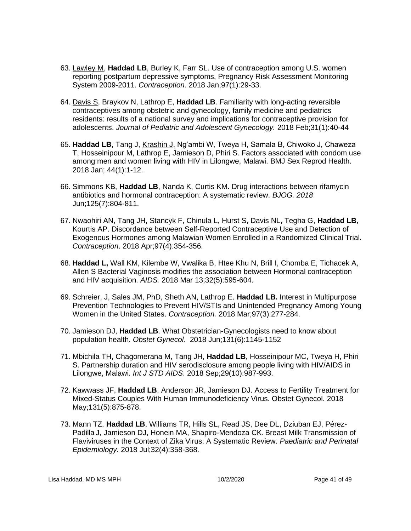- 63. Lawley M, **Haddad LB**, Burley K, Farr SL. Use of contraception among U.S. women reporting postpartum depressive symptoms, Pregnancy Risk Assessment Monitoring System 2009-2011. *Contraception.* 2018 Jan;97(1):29-33.
- 64. Davis S, Braykov N, Lathrop E, **Haddad LB**. Familiarity with long-acting reversible contraceptives among obstetric and gynecology, family medicine and pediatrics residents: results of a national survey and implications for contraceptive provision for adolescents. *Journal of Pediatric and Adolescent Gynecology.* 2018 Feb;31(1):40-44
- 65. **Haddad LB**, Tang J, Krashin J, Ng'ambi W, Tweya H, Samala B, Chiwoko J, Chaweza T, Hosseinipour M, Lathrop E, Jamieson D, Phiri S. Factors associated with condom use among men and women living with HIV in Lilongwe, Malawi. BMJ Sex Reprod Health. 2018 Jan; 44(1):1-12.
- 66. Simmons KB, **Haddad LB**, Nanda K, Curtis KM. Drug interactions between rifamycin antibiotics and hormonal contraception: A systematic review. *BJOG. 2018*  Jun;125(7):804-811.
- 67. Nwaohiri AN, Tang JH, Stancyk F, Chinula L, Hurst S, Davis NL, Tegha G, **Haddad LB**, Kourtis AP. Discordance between Self-Reported Contraceptive Use and Detection of Exogenous Hormones among Malawian Women Enrolled in a Randomized Clinical Trial. *Contraception*. 2018 Apr;97(4):354-356.
- 68. **Haddad L,** Wall KM, Kilembe W, Vwalika B, Htee Khu N, Brill I, Chomba E, Tichacek A, Allen S Bacterial Vaginosis modifies the association between Hormonal contraception and HIV acquisition. *AIDS.* 2018 Mar 13;32(5):595-604.
- 69. Schreier, J, Sales JM, PhD, Sheth AN, Lathrop E. **Haddad LB.** Interest in Multipurpose Prevention Technologies to Prevent HIV/STIs and Unintended Pregnancy Among Young Women in the United States. *Contraception.* 2018 Mar;97(3):277-284.
- 70. Jamieson DJ, **Haddad LB**. What Obstetrician-Gynecologists need to know about population health. *Obstet Gynecol*. 2018 Jun;131(6):1145-1152
- 71. Mbichila TH, Chagomerana M, Tang JH, **Haddad LB**, Hosseinipour MC, Tweya H, Phiri S. Partnership duration and HIV serodisclosure among people living with HIV/AIDS in Lilongwe, Malawi. *Int J STD AIDS*. 2018 Sep;29(10):987-993.
- 72. Kawwass JF, **Haddad LB**, Anderson JR, Jamieson DJ. Access to Fertility Treatment for Mixed-Status Couples With Human Immunodeficiency Virus. Obstet Gynecol. 2018 May;131(5):875-878.
- 73. Mann TZ, **Haddad LB**, Williams TR, Hills SL, Read JS, Dee DL, Dziuban EJ, Pérez-Padilla J, Jamieson DJ, Honein MA, Shapiro-Mendoza CK. Breast Milk Transmission of Flaviviruses in the Context of Zika Virus: A Systematic Review. *Paediatric and Perinatal Epidemiology.* 2018 Jul;32(4):358-368.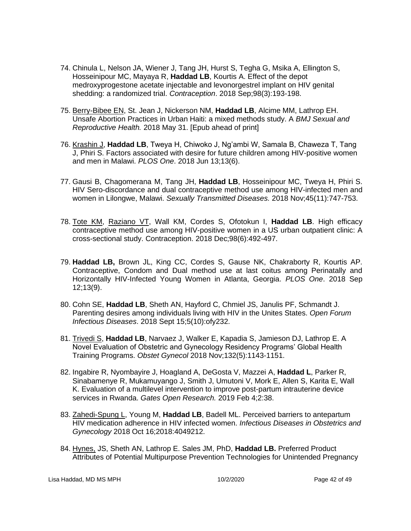- 74. Chinula L, Nelson JA, Wiener J, Tang JH, Hurst S, Tegha G, Msika A, Ellington S, Hosseinipour MC, Mayaya R, **Haddad LB**, Kourtis A. Effect of the depot medroxyprogestone acetate injectable and levonorgestrel implant on HIV genital shedding: a randomized trial. *Contraception*. 2018 Sep;98(3):193-198.
- 75. Berry-Bibee EN, St. Jean J, Nickerson NM, **Haddad LB**, Alcime MM, Lathrop EH. Unsafe Abortion Practices in Urban Haiti: a mixed methods study. A *BMJ Sexual and Reproductive Health.* 2018 May 31. [Epub ahead of print]
- 76. Krashin J, **Haddad LB**, Tweya H, Chiwoko J, Ng'ambi W, Samala B, Chaweza T, Tang J, Phiri S. Factors associated with desire for future children among HIV-positive women and men in Malawi. *PLOS One*. 2018 Jun 13;13(6).
- 77. Gausi B, Chagomerana M, Tang JH, **Haddad LB**, Hosseinipour MC, Tweya H, Phiri S. HIV Sero-discordance and dual contraceptive method use among HIV-infected men and women in Lilongwe, Malawi. *Sexually Transmitted Diseases.* 2018 Nov;45(11):747-753.
- 78. Tote KM, Raziano VT, Wall KM, Cordes S, Ofotokun I, **Haddad LB**. High efficacy contraceptive method use among HIV-positive women in a US urban outpatient clinic: A cross-sectional study. Contraception. 2018 Dec;98(6):492-497.
- 79. **Haddad LB,** Brown JL, King CC, Cordes S, Gause NK, Chakraborty R, Kourtis AP. Contraceptive, Condom and Dual method use at last coitus among Perinatally and Horizontally HIV-Infected Young Women in Atlanta, Georgia. *PLOS One*. 2018 Sep 12;13(9).
- 80. Cohn SE, **Haddad LB**, Sheth AN, Hayford C, Chmiel JS, Janulis PF, Schmandt J. Parenting desires among individuals living with HIV in the Unites States. *Open Forum Infectious Diseases*. 2018 Sept 15;5(10):ofy232.
- 81. Trivedi S, **Haddad LB**, Narvaez J, Walker E, Kapadia S, Jamieson DJ, Lathrop E. A Novel Evaluation of Obstetric and Gynecology Residency Programs' Global Health Training Programs. *Obstet Gynecol* 2018 Nov;132(5):1143-1151.
- 82. Ingabire R, Nyombayire J, Hoagland A, DeGosta V, Mazzei A, **Haddad L**, Parker R, Sinabamenye R, Mukamuyango J, Smith J, Umutoni V, Mork E, Allen S, Karita E, Wall K. Evaluation of a multilevel intervention to improve post-partum intrauterine device services in Rwanda. *Gates Open Research.* 2019 Feb 4;2:38.
- 83. Zahedi-Spung L, Young M, **Haddad LB**, Badell ML. Perceived barriers to antepartum HIV medication adherence in HIV infected women. *Infectious Diseases in Obstetrics and Gynecology* 2018 Oct 16;2018:4049212.
- 84. Hynes, JS, Sheth AN, Lathrop E. Sales JM, PhD, **Haddad LB.** Preferred Product Attributes of Potential Multipurpose Prevention Technologies for Unintended Pregnancy

Lisa Haddad, MD MS MPH 10/2/2020 Page 42 of 49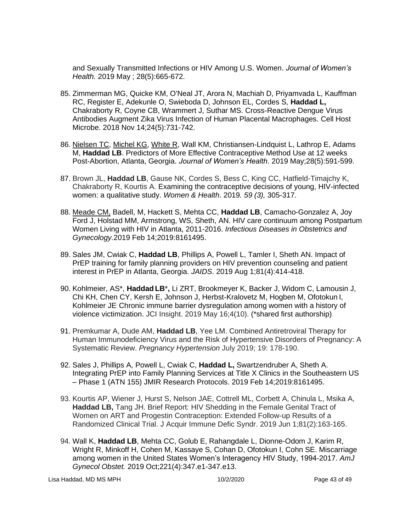and Sexually Transmitted Infections or HIV Among U.S. Women. *Journal of Women's Health.* 2019 May ; 28(5):665-672.

- 85. Zimmerman MG, Quicke KM, O'Neal JT, Arora N, Machiah D, Priyamvada L, Kauffman RC, Register E, Adekunle O, Swieboda D, Johnson EL, Cordes S, **Haddad L,** Chakraborty R, Coyne CB, Wrammert J, Suthar MS. Cross-Reactive Dengue Virus Antibodies Augment Zika Virus Infection of Human Placental Macrophages. Cell Host Microbe. 2018 Nov 14;24(5):731-742.
- 86. Nielsen TC, Michel KG, White R, Wall KM, Christiansen-Lindquist L, Lathrop E, Adams M, **Haddad LB**. Predictors of More Effective Contraceptive Method Use at 12 weeks Post-Abortion, Atlanta, Georgia. *Journal of Women's Health*. 2019 May;28(5):591-599.
- 87. Brown JL, **Haddad LB**, Gause NK, Cordes S, Bess C, King CC, Hatfield-Timajchy K, Chakraborty R, Kourtis A. Examining the contraceptive decisions of young, HIV-infected women: a qualitative study. *Women & Health*. 2019*. 59 (3),* 305-317.
- 88. Meade CM, Badell, M, Hackett S, Mehta CC, **Haddad LB**, Camacho-Gonzalez A, Joy Ford J, Holstad MM, Armstrong, WS, Sheth, AN. HIV care continuum among Postpartum Women Living with HIV in Atlanta, 2011-2016. *Infectious Diseases in Obstetrics and Gynecology.*2019 Feb 14;2019:8161495.
- 89. Sales JM, Cwiak C, **Haddad LB**, Phillips A, Powell L, Tamler I, Sheth AN. Impact of PrEP training for family planning providers on HIV prevention counseling and patient interest in PrEP in Atlanta, Georgia. *JAIDS*. 2019 Aug 1;81(4):414-418.
- 90. Kohlmeier, AS\*, **Haddad LB**\***,** Li ZRT, Brookmeyer K, Backer J, Widom C, Lamousin J, Chi KH, Chen CY, Kersh E, Johnson J, Herbst-Kralovetz M, Hogben M, Ofotokun I, Kohlmeier JE. Chronic immune barrier dysregulation among women with a history of violence victimization. JCI Insight. 2019 May 16;4(10). (\*shared first authorship)
- 91. Premkumar A, Dude AM, **Haddad LB**, Yee LM. Combined Antiretroviral Therapy for Human Immunodeficiency Virus and the Risk of Hypertensive Disorders of Pregnancy: A Systematic Review. *Pregnancy Hypertension* July 2019; 19: 178-190.
- 92. Sales J, Phillips A, Powell L, Cwiak C, **Haddad L,** Swartzendruber A, Sheth A. Integrating PrEP into Family Planning Services at Title X Clinics in the Southeastern US – Phase 1 (ATN 155) JMIR Research Protocols. 2019 Feb 14;2019:8161495.
- 93. Kourtis AP, Wiener J, Hurst S, Nelson JAE, Cottrell ML, Corbett A, Chinula L, Msika A, **Haddad LB,** Tang JH. Brief Report: HIV Shedding in the Female Genital Tract of Women on ART and Progestin Contraception: Extended Follow-up Results of a Randomized Clinical Trial. J Acquir Immune Defic Syndr. 2019 Jun 1;81(2):163-165.
- 94. Wall K, **Haddad LB**, Mehta CC, Golub E, Rahangdale L, Dionne-Odom J, Karim R, Wright R, Minkoff H, Cohen M, Kassaye S, Cohan D, Ofotokun I, Cohn SE. Miscarriage among women in the United States Women's Interagency HIV Study, 1994-2017. *AmJ Gynecol Obstet.* 2019 Oct;221(4):347.e1-347.e13.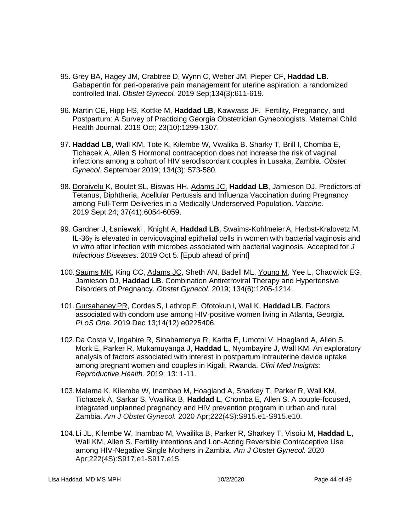- 95. Grey BA, Hagey JM, Crabtree D, Wynn C, Weber JM, Pieper CF, **Haddad LB**. Gabapentin for peri-operative pain management for uterine aspiration: a randomized controlled trial. *Obstet Gynecol.* 2019 Sep;134(3):611-619.
- 96. Martin CE, Hipp HS, Kottke M, **Haddad LB**, Kawwass JF. Fertility, Pregnancy, and Postpartum: A Survey of Practicing Georgia Obstetrician Gynecologists. Maternal Child Health Journal. 2019 Oct; 23(10):1299-1307.
- 97. **Haddad LB,** Wall KM, Tote K, Kilembe W, Vwalika B. Sharky T, Brill I, Chomba E, Tichacek A, Allen S Hormonal contraception does not increase the risk of vaginal infections among a cohort of HIV serodiscordant couples in Lusaka, Zambia. *Obstet Gynecol.* [September 2019; 134\(3\):](http://journals.lww.com/greenjournal/pages/currenttoc.aspx) 573-580.
- 98. Doraivelu K, Boulet SL, Biswas HH, Adams JC, **Haddad LB**, Jamieson DJ. Predictors of Tetanus, Diphtheria, Acellular Pertussis and Influenza Vaccination during Pregnancy among Full-Term Deliveries in a Medically Underserved Population. *Vaccine.* 2019 Sept 24; 37(41):6054-6059.
- 99. Gardner J, Łaniewski , Knight A, **Haddad LB**, Swaims-Kohlmeier A, Herbst-Kralovetz M.  $IL-36\gamma$  is elevated in cervicovaginal epithelial cells in women with bacterial vaginosis and *in vitro* after infection with microbes associated with bacterial vaginosis. Accepted for *J Infectious Diseases*. 2019 Oct 5. [Epub ahead of print]
- 100.Saums MK, King CC, Adams JC, Sheth AN, Badell ML, Young M, Yee L, Chadwick EG, Jamieson DJ, **Haddad LB**. Combination Antiretroviral Therapy and Hypertensive Disorders of Pregnancy. *Obstet Gynecol.* 2019; 134(6):1205-1214.
- 101.Gursahaney PR, Cordes S, Lathrop E, Ofotokun I, Wall K, **Haddad LB**. Factors associated with condom use among HIV-positive women living in Atlanta, Georgia. *PLoS One.* 2019 Dec 13;14(12):e0225406.
- 102.Da Costa V, Ingabire R, Sinabamenya R, Karita E, Umotni V, Hoagland A, Allen S, Mork E, Parker R, Mukamuyanga J, **Haddad L**, Nyombayire J, Wall KM. An exploratory analysis of factors associated with interest in postpartum intrauterine device uptake among pregnant women and couples in Kigali, Rwanda. *Clini Med Insights: Reproductive Health.* 2019; 13: 1-11.
- 103.Malama K, Kilembe W, Inambao M, Hoagland A, Sharkey T, Parker R, Wall KM, Tichacek A, Sarkar S, Vwailika B, **Haddad L**, Chomba E, Allen S. A couple-focused, integrated unplanned pregnancy and HIV prevention program in urban and rural Zambia. *Am J Obstet Gynecol.* 2020 Apr;222(4S):S915.e1-S915.e10.
- 104.Li JL, Kilembe W, Inambao M, Vwailika B, Parker R, Sharkey T, Visoiu M, **Haddad L**, Wall KM, Allen S. Fertility intentions and Lon-Acting Reversible Contraceptive Use among HIV-Negative Single Mothers in Zambia. *Am J Obstet Gynecol*. 2020 Apr;222(4S):S917.e1-S917.e15.

Lisa Haddad, MD MS MPH 10/2/2020 Page 44 of 49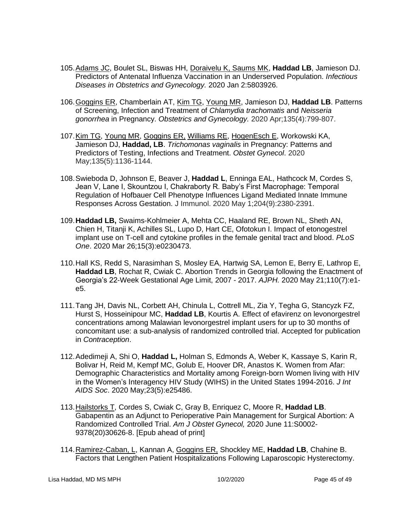- 105.Adams JC, Boulet SL, Biswas HH, Doraivelu K, Saums MK, **Haddad LB**, Jamieson DJ. Predictors of Antenatal Influenza Vaccination in an Underserved Population. *Infectious Diseases in Obstetrics and Gynecology.* 2020 Jan 2:5803926.
- 106.Goggins ER, Chamberlain AT, Kim TG, Young MR, Jamieson DJ, **Haddad LB**. Patterns of Screening, Infection and Treatment of *Chlamydia trachomatis* and *Neisseria gonorrhea* in Pregnancy. *Obstetrics and Gynecology.* 2020 Apr;135(4):799-807.
- 107.Kim TG, Young MR, Goggins ER, Williams RE, HogenEsch E, Workowski KA, Jamieson DJ, **Haddad, LB**. *Trichomonas vaginalis* in Pregnancy: Patterns and Predictors of Testing, Infections and Treatment. *Obstet Gynecol*. 2020 May;135(5):1136-1144.
- 108.Swieboda D, Johnson E, Beaver J, **Haddad L**, Enninga EAL, Hathcock M, Cordes S, Jean V, Lane I, Skountzou I, Chakraborty R. Baby's First Macrophage: Temporal Regulation of Hofbauer Cell Phenotype Influences Ligand Mediated Innate Immune Responses Across Gestation. J Immunol. 2020 May 1;204(9):2380-2391.
- 109.**Haddad LB,** Swaims-Kohlmeier A, Mehta CC, Haaland RE, Brown NL, Sheth AN, Chien H, Titanji K, Achilles SL, Lupo D, Hart CE, Ofotokun I. Impact of etonogestrel implant use on T-cell and cytokine profiles in the female genital tract and blood. *PLoS One*. 2020 Mar 26;15(3):e0230473.
- 110.Hall KS, Redd S, Narasimhan S, Mosley EA, Hartwig SA, Lemon E, Berry E, Lathrop E, **Haddad LB**, Rochat R, Cwiak C. Abortion Trends in Georgia following the Enactment of Georgia's 22-Week Gestational Age Limit, 2007 - 2017. *AJPH.* 2020 May 21;110(7):e1 e5.
- 111.Tang JH, Davis NL, Corbett AH, Chinula L, Cottrell ML, Zia Y, Tegha G, Stancyzk FZ, Hurst S, Hosseinipour MC, **Haddad LB**, Kourtis A. Effect of efavirenz on levonorgestrel concentrations among Malawian levonorgestrel implant users for up to 30 months of concomitant use: a sub-analysis of randomized controlled trial. Accepted for publication in *Contraception*.
- 112.Adedimeji A, Shi O, **Haddad L,** Holman S, Edmonds A, Weber K, Kassaye S, Karin R, Bolivar H, Reid M, Kempf MC, Golub E, Hoover DR, Anastos K. Women from Afar: Demographic Characteristics and Mortality among Foreign-born Women living with HIV in the Women's Interagency HIV Study (WIHS) in the United States 1994-2016. *J Int AIDS Soc*. 2020 May;23(5):e25486.
- 113.Hailstorks T, Cordes S, Cwiak C, Gray B, Enriquez C, Moore R, **Haddad LB**. Gabapentin as an Adjunct to Perioperative Pain Management for Surgical Abortion: A Randomized Controlled Trial. *Am J Obstet Gynecol,* 2020 June 11:S0002- 9378(20)30626-8. [Epub ahead of print]
- 114.Ramirez-Caban, L, Kannan A, Goggins ER, Shockley ME, **Haddad LB**, Chahine B. Factors that Lengthen Patient Hospitalizations Following Laparoscopic Hysterectomy.

Lisa Haddad, MD MS MPH 10/2/2020 Page 45 of 49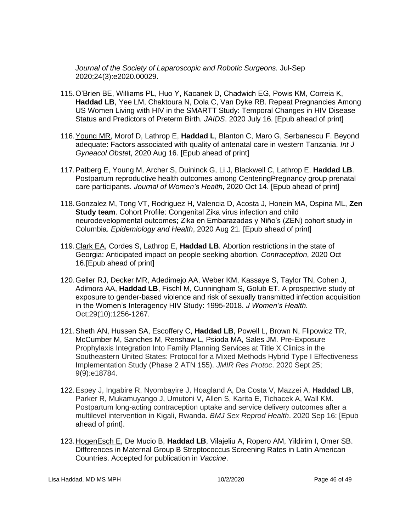*Journal of the Society of Laparoscopic and Robotic Surgeons.* Jul-Sep 2020;24(3):e2020.00029.

- 115.O'Brien BE, Williams PL, Huo Y, Kacanek D, Chadwich EG, Powis KM, Correia K, **Haddad LB**, Yee LM, Chaktoura N, Dola C, Van Dyke RB. Repeat Pregnancies Among US Women Living with HIV in the SMARTT Study: Temporal Changes in HIV Disease Status and Predictors of Preterm Birth. *JAIDS*. 2020 July 16. [Epub ahead of print]
- 116.Young MR, Morof D, Lathrop E, **Haddad L**, Blanton C, Maro G, Serbanescu F. Beyond adequate: Factors associated with quality of antenatal care in western Tanzania. *Int J Gyneacol Obste*t, 2020 Aug 16. [Epub ahead of print]
- 117.Patberg E, Young M, Archer S, Duininck G, Li J, Blackwell C, Lathrop E, **Haddad LB**. Postpartum reproductive health outcomes among CenteringPregnancy group prenatal care participants. *Journal of Women's Health*, 2020 Oct 14. [Epub ahead of print]
- 118.Gonzalez M, Tong VT, Rodriguez H, Valencia D, Acosta J, Honein MA, Ospina ML, **Zen Study team**. Cohort Profile: Congenital Zika virus infection and child neurodevelopmental outcomes; Zika en Embarazadas y Niño's (ZEN) cohort study in Columbia. *Epidemiology and Health*, 2020 Aug 21. [Epub ahead of print]
- 119.Clark EA, Cordes S, Lathrop E, **Haddad LB**. Abortion restrictions in the state of Georgia: Anticipated impact on people seeking abortion. *Contraception*, 2020 Oct 16.[Epub ahead of print]
- 120.Geller RJ, Decker MR, Adedimejo AA, Weber KM, Kassaye S, Taylor TN, Cohen J, Adimora AA, **Haddad LB**, Fischl M, Cunningham S, Golub ET. A prospective study of exposure to gender-based violence and risk of sexually transmitted infection acquisition in the Women's Interagency HIV Study: 1995-2018. *J Women's Health*. Oct;29(10):1256-1267.
- 121.Sheth AN, Hussen SA, Escoffery C, **Haddad LB**, Powell L, Brown N, Flipowicz TR, McCumber M, Sanches M, Renshaw L, Psioda MA, Sales JM. Pre-Exposure Prophylaxis Integration Into Family Planning Services at Title X Clinics in the Southeastern United States: Protocol for a Mixed Methods Hybrid Type I Effectiveness Implementation Study (Phase 2 ATN 155). *JMIR Res Protoc*. 2020 Sept 25; 9(9):e18784.
- 122.Espey J, Ingabire R, Nyombayire J, Hoagland A, Da Costa V, Mazzei A, **Haddad LB**, Parker R, Mukamuyango J, Umutoni V, Allen S, Karita E, Tichacek A, Wall KM. Postpartum long-acting contraception uptake and service delivery outcomes after a multilevel intervention in Kigali, Rwanda. *BMJ Sex Reprod Health*. 2020 Sep 16: [Epub ahead of print].
- 123.HogenEsch E, De Mucio B, **Haddad LB**, Vilajeliu A, Ropero AM, Yildirim I, Omer SB. Differences in Maternal Group B Streptococcus Screening Rates in Latin American Countries. Accepted for publication in *Vaccine*.

Lisa Haddad, MD MS MPH 10/2/2020 Page 46 of 49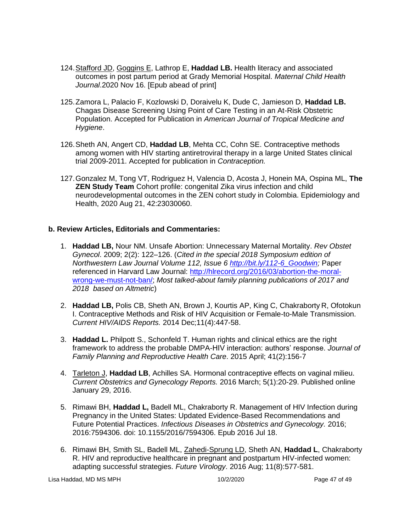- 124.Stafford JD, Goggins E, Lathrop E, **Haddad LB.** Health literacy and associated outcomes in post partum period at Grady Memorial Hospital. *Maternal Child Health Journal*.2020 Nov 16. [Epub abead of print]
- 125.Zamora L, Palacio F, Kozlowski D, Doraivelu K, Dude C, Jamieson D, **Haddad LB.** Chagas Disease Screening Using Point of Care Testing in an At-Risk Obstetric Population. Accepted for Publication in *American Journal of Tropical Medicine and Hygiene*.
- 126.Sheth AN, Angert CD, **Haddad LB**, Mehta CC, Cohn SE. Contraceptive methods among women with HIV starting antiretroviral therapy in a large United States clinical trial 2009-2011. Accepted for publication in *Contraception.*
- 127.Gonzalez M, Tong VT, Rodriguez H, Valencia D, Acosta J, Honein MA, Ospina ML, **The ZEN Study Team** Cohort profile: congenital Zika virus infection and child neurodevelopmental outcomes in the ZEN cohort study in Colombia. Epidemiology and Health, 2020 Aug 21, 42:23030060.

# **b. Review Articles, Editorials and Commentaries:**

- 1. **Haddad LB,** Nour NM. Unsafe Abortion: Unnecessary Maternal Mortality. *Rev Obstet Gynecol*. 2009; 2(2): 122–126. (*Cited in the special 2018 Symposium edition of Northwestern Law Journal Volume 112, Issue 6 [http://bit.ly/112-6\\_Goodwin;](http://bit.ly/112-6_Goodwin)* Paper referenced in Harvard Law Journal: [http://hlrecord.org/2016/03/abortion-the-moral](http://hlrecord.org/2016/03/abortion-the-moral-wrong-we-must-not-ban/)[wrong-we-must-not-ban/;](http://hlrecord.org/2016/03/abortion-the-moral-wrong-we-must-not-ban/) *Most talked-about family planning publications of 2017 and 2018 based on Altmetric*)
- 2. **Haddad LB,** Polis CB, Sheth AN, Brown J, Kourtis AP, King C, Chakraborty R, Ofotokun I. Contraceptive Methods and Risk of HIV Acquisition or Female-to-Male Transmission. *Current HIV/AIDS Reports.* 2014 Dec;11(4):447-58.
- 3. **Haddad L.** Philpott S., Schonfeld T. Human rights and clinical ethics are the right framework to address the probable DMPA-HIV interaction: authors' response. *Journal of Family Planning and Reproductive Health Care*. 2015 April; 41(2):156-7
- 4. Tarleton J, **Haddad LB**, Achilles SA. Hormonal contraceptive effects on vaginal milieu. *Current Obstetrics and Gynecology Reports.* 2016 March; 5(1):20-29. Published online January 29, 2016.
- 5. Rimawi BH, **Haddad L,** Badell ML, Chakraborty R. Management of HIV Infection during Pregnancy in the United States: Updated Evidence-Based Recommendations and Future Potential Practices. *Infectious Diseases in Obstetrics and Gynecology.* 2016; 2016:7594306. doi: 10.1155/2016/7594306. Epub 2016 Jul 18.
- 6. Rimawi BH, Smith SL, Badell ML, Zahedi-Sprung LD, Sheth AN, **Haddad L**, Chakraborty R. HIV and reproductive healthcare in pregnant and postpartum HIV-infected women: adapting successful strategies. *Future Virology*. 2016 Aug; 11(8):577-581.

Lisa Haddad, MD MS MPH 10/2/2020 Page 47 of 49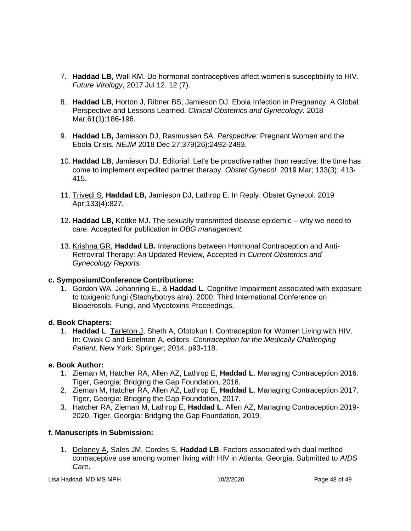- 7. **Haddad LB**, Wall KM. Do hormonal contraceptives affect women's susceptibility to HIV. *Future Virology*, 2017 Jul 12. 12 (7).
- 8. **Haddad LB**, Horton J, Ribner BS, Jamieson DJ. Ebola Infection in Pregnancy: A Global Perspective and Lessons Learned. *Clinical Obstetrics and Gynecology.* 2018 Mar;61(1):186-196.
- 9. **Haddad LB,** Jamieson DJ, Rasmussen SA. *Perspective:* Pregnant Women and the Ebola Crisis. *NEJM* 2018 Dec 27;379(26):2492-2493.
- 10. **Haddad LB**, Jamieson DJ. Editorial: Let's be proactive rather than reactive: the time has come to implement expedited partner therapy. *Obstet Gynecol*. 2019 Mar; 133(3): 413- 415.
- 11. Trivedi S, **Haddad LB,** Jamieson DJ, Lathrop E. In Reply. Obstet Gynecol. 2019 Apr;133(4):827.
- 12. **Haddad LB,** Kottke MJ. The sexually transmitted disease epidemic why we need to care. Accepted for publication in *OBG management.*
- 13. Krishna GR, **Haddad LB.** Interactions between Hormonal Contraception and Anti-Retroviral Therapy: An Updated Review, Accepted in *Current Obstetrics and Gynecology Reports.*

# **c. Symposium/Conference Contributions:**

1. Gordon WA, Johanning E., & **Haddad L**. Cognitive Impairment associated with exposure to toxigenic fungi (Stachybotrys atra). 2000: Third International Conference on Bioaerosols, Fungi, and Mycotoxins Proceedings.

#### **d. Book Chapters:**

1. **Haddad L**. Tarleton J, Sheth A, Ofotokun I. Contraception for Women Living with HIV. In: Cwiak C and Edelman A, editors *Contraception for the Medically Challenging Patient*. New York: Springer; 2014. p93-118.

# **e. Book Author:**

- 1. Zieman M, Hatcher RA, Allen AZ, Lathrop E, **Haddad L**. Managing Contraception 2016. Tiger, Georgia: Bridging the Gap Foundation, 2016.
- 2. Zieman M, Hatcher RA, Allen AZ, Lathrop E, **Haddad L**. Managing Contraception 2017. Tiger, Georgia: Bridging the Gap Foundation, 2017.
- 3. Hatcher RA, Zieman M, Lathrop E, **Haddad L**. Allen AZ, Managing Contraception 2019- 2020. Tiger, Georgia: Bridging the Gap Foundation, 2019.

# **f. Manuscripts in Submission:**

1. Delaney A, Sales JM, Cordes S, **Haddad LB**. Factors associated with dual method contraceptive use among women living with HIV in Atlanta, Georgia. Submitted to *AIDS Care*.

Lisa Haddad, MD MS MPH 10/2/2020 Page 48 of 49